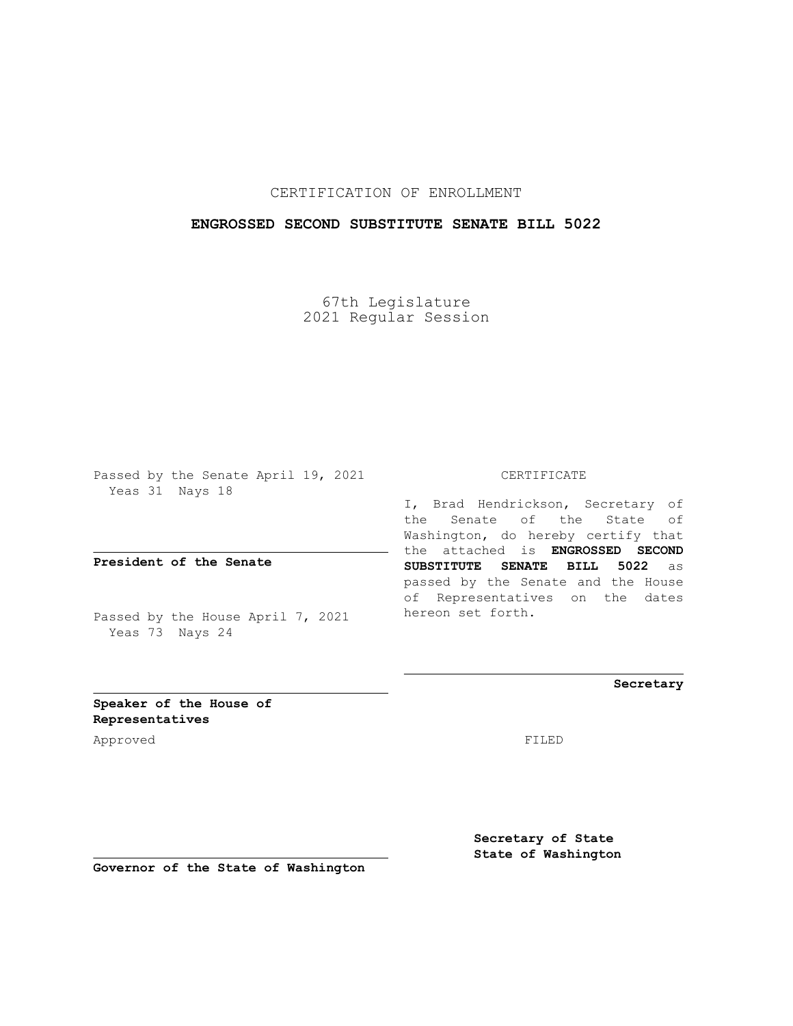## CERTIFICATION OF ENROLLMENT

## **ENGROSSED SECOND SUBSTITUTE SENATE BILL 5022**

67th Legislature 2021 Regular Session

Passed by the Senate April 19, 2021 Yeas 31 Nays 18

**President of the Senate**

Passed by the House April 7, 2021 Yeas 73 Nays 24

CERTIFICATE

I, Brad Hendrickson, Secretary of the Senate of the State of Washington, do hereby certify that the attached is **ENGROSSED SECOND SUBSTITUTE SENATE BILL 5022** as passed by the Senate and the House of Representatives on the dates hereon set forth.

**Secretary**

**Speaker of the House of Representatives**

Approved FILED

**Secretary of State State of Washington**

**Governor of the State of Washington**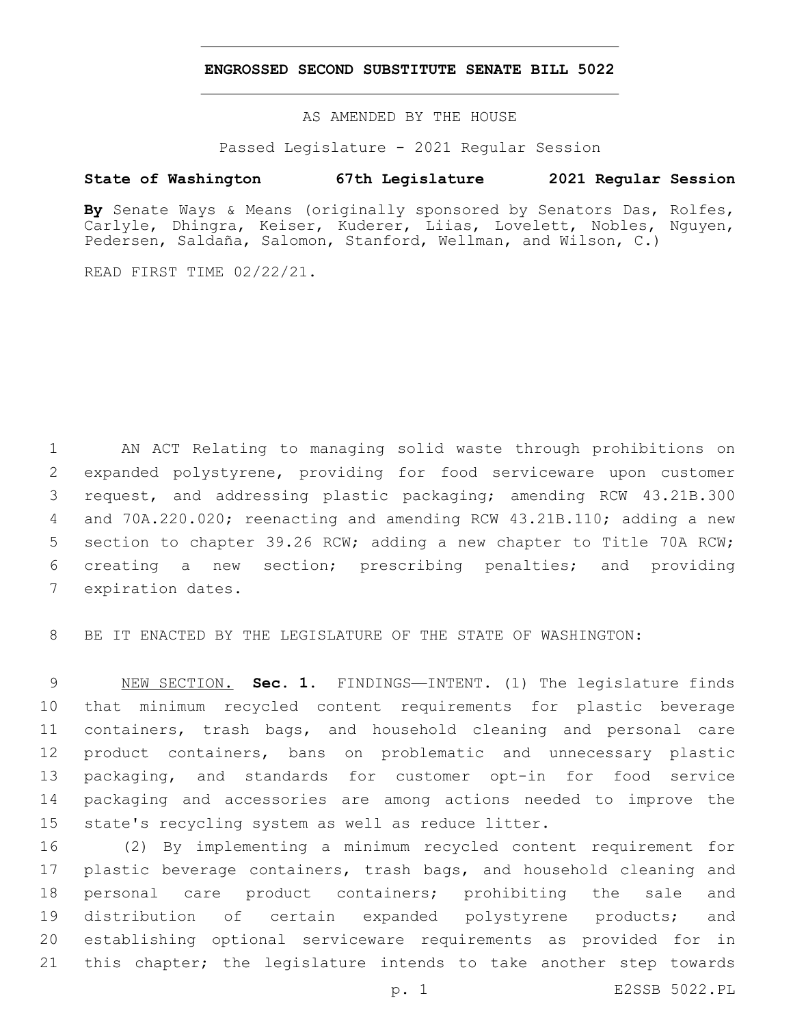## **ENGROSSED SECOND SUBSTITUTE SENATE BILL 5022**

AS AMENDED BY THE HOUSE

Passed Legislature - 2021 Regular Session

## **State of Washington 67th Legislature 2021 Regular Session**

**By** Senate Ways & Means (originally sponsored by Senators Das, Rolfes, Carlyle, Dhingra, Keiser, Kuderer, Liias, Lovelett, Nobles, Nguyen, Pedersen, Saldaña, Salomon, Stanford, Wellman, and Wilson, C.)

READ FIRST TIME 02/22/21.

 AN ACT Relating to managing solid waste through prohibitions on expanded polystyrene, providing for food serviceware upon customer request, and addressing plastic packaging; amending RCW 43.21B.300 and 70A.220.020; reenacting and amending RCW 43.21B.110; adding a new section to chapter 39.26 RCW; adding a new chapter to Title 70A RCW; creating a new section; prescribing penalties; and providing 7 expiration dates.

BE IT ENACTED BY THE LEGISLATURE OF THE STATE OF WASHINGTON:

 NEW SECTION. **Sec. 1.** FINDINGS—INTENT. (1) The legislature finds that minimum recycled content requirements for plastic beverage containers, trash bags, and household cleaning and personal care product containers, bans on problematic and unnecessary plastic packaging, and standards for customer opt-in for food service packaging and accessories are among actions needed to improve the state's recycling system as well as reduce litter.

 (2) By implementing a minimum recycled content requirement for 17 plastic beverage containers, trash bags, and household cleaning and personal care product containers; prohibiting the sale and distribution of certain expanded polystyrene products; and establishing optional serviceware requirements as provided for in this chapter; the legislature intends to take another step towards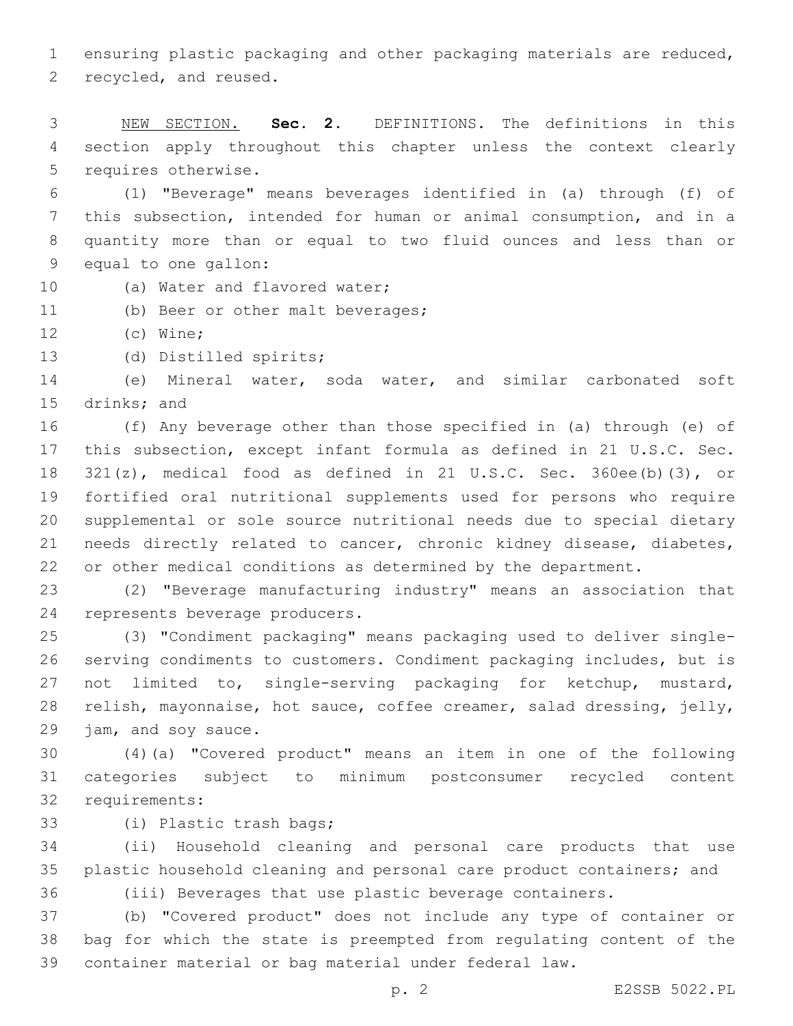ensuring plastic packaging and other packaging materials are reduced, 2 recycled, and reused.

 NEW SECTION. **Sec. 2.** DEFINITIONS. The definitions in this section apply throughout this chapter unless the context clearly requires otherwise.

 (1) "Beverage" means beverages identified in (a) through (f) of this subsection, intended for human or animal consumption, and in a quantity more than or equal to two fluid ounces and less than or 9 equal to one gallon:

- 10 (a) Water and flavored water;
- 11 (b) Beer or other malt beverages;
- 12 (c) Wine;
- 13 (d) Distilled spirits;

 (e) Mineral water, soda water, and similar carbonated soft 15 drinks; and

 (f) Any beverage other than those specified in (a) through (e) of this subsection, except infant formula as defined in 21 U.S.C. Sec. 321(z), medical food as defined in 21 U.S.C. Sec. 360ee(b)(3), or fortified oral nutritional supplements used for persons who require supplemental or sole source nutritional needs due to special dietary needs directly related to cancer, chronic kidney disease, diabetes, or other medical conditions as determined by the department.

 (2) "Beverage manufacturing industry" means an association that 24 represents beverage producers.

 (3) "Condiment packaging" means packaging used to deliver single- serving condiments to customers. Condiment packaging includes, but is not limited to, single-serving packaging for ketchup, mustard, relish, mayonnaise, hot sauce, coffee creamer, salad dressing, jelly, 29 jam, and soy sauce.

 (4)(a) "Covered product" means an item in one of the following categories subject to minimum postconsumer recycled content 32 requirements:

33 (i) Plastic trash bags;

 (ii) Household cleaning and personal care products that use plastic household cleaning and personal care product containers; and

(iii) Beverages that use plastic beverage containers.

 (b) "Covered product" does not include any type of container or bag for which the state is preempted from regulating content of the container material or bag material under federal law.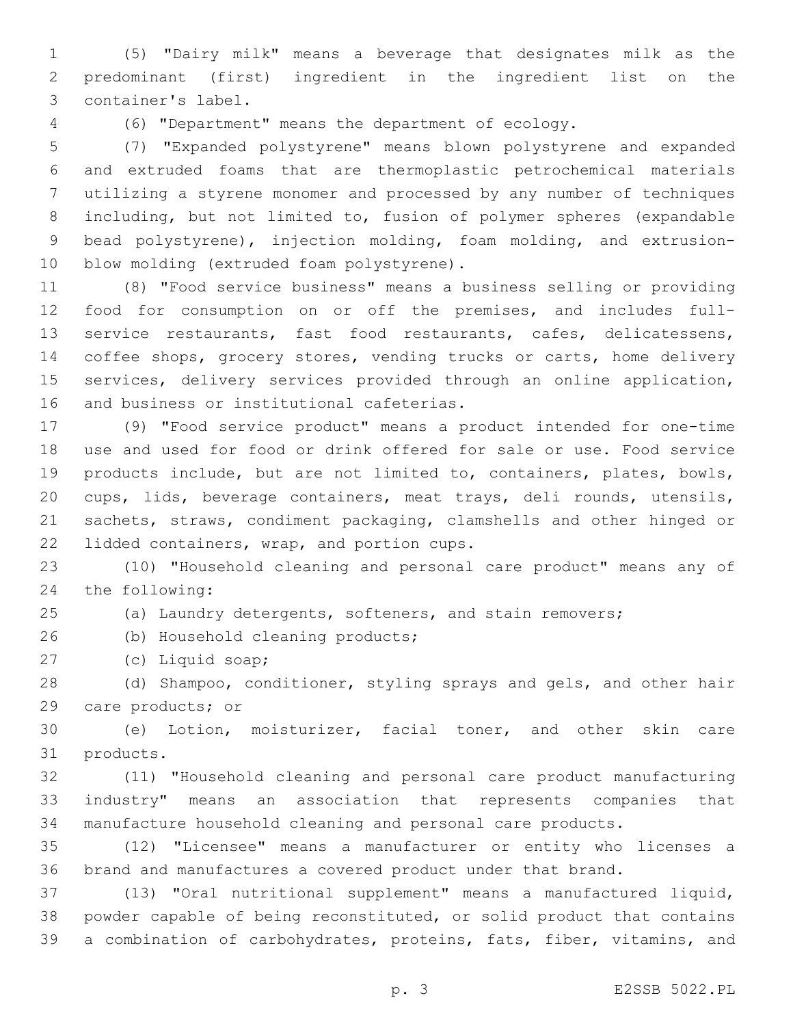(5) "Dairy milk" means a beverage that designates milk as the predominant (first) ingredient in the ingredient list on the 3 container's label.

(6) "Department" means the department of ecology.

 (7) "Expanded polystyrene" means blown polystyrene and expanded and extruded foams that are thermoplastic petrochemical materials utilizing a styrene monomer and processed by any number of techniques including, but not limited to, fusion of polymer spheres (expandable bead polystyrene), injection molding, foam molding, and extrusion-10 blow molding (extruded foam polystyrene).

 (8) "Food service business" means a business selling or providing food for consumption on or off the premises, and includes full- service restaurants, fast food restaurants, cafes, delicatessens, coffee shops, grocery stores, vending trucks or carts, home delivery services, delivery services provided through an online application, 16 and business or institutional cafeterias.

 (9) "Food service product" means a product intended for one-time use and used for food or drink offered for sale or use. Food service products include, but are not limited to, containers, plates, bowls, cups, lids, beverage containers, meat trays, deli rounds, utensils, sachets, straws, condiment packaging, clamshells and other hinged or 22 lidded containers, wrap, and portion cups.

 (10) "Household cleaning and personal care product" means any of 24 the following:

(a) Laundry detergents, softeners, and stain removers;

26 (b) Household cleaning products;

(c) Liquid soap;27

 (d) Shampoo, conditioner, styling sprays and gels, and other hair 29 care products; or

 (e) Lotion, moisturizer, facial toner, and other skin care 31 products.

 (11) "Household cleaning and personal care product manufacturing industry" means an association that represents companies that manufacture household cleaning and personal care products.

 (12) "Licensee" means a manufacturer or entity who licenses a brand and manufactures a covered product under that brand.

 (13) "Oral nutritional supplement" means a manufactured liquid, powder capable of being reconstituted, or solid product that contains a combination of carbohydrates, proteins, fats, fiber, vitamins, and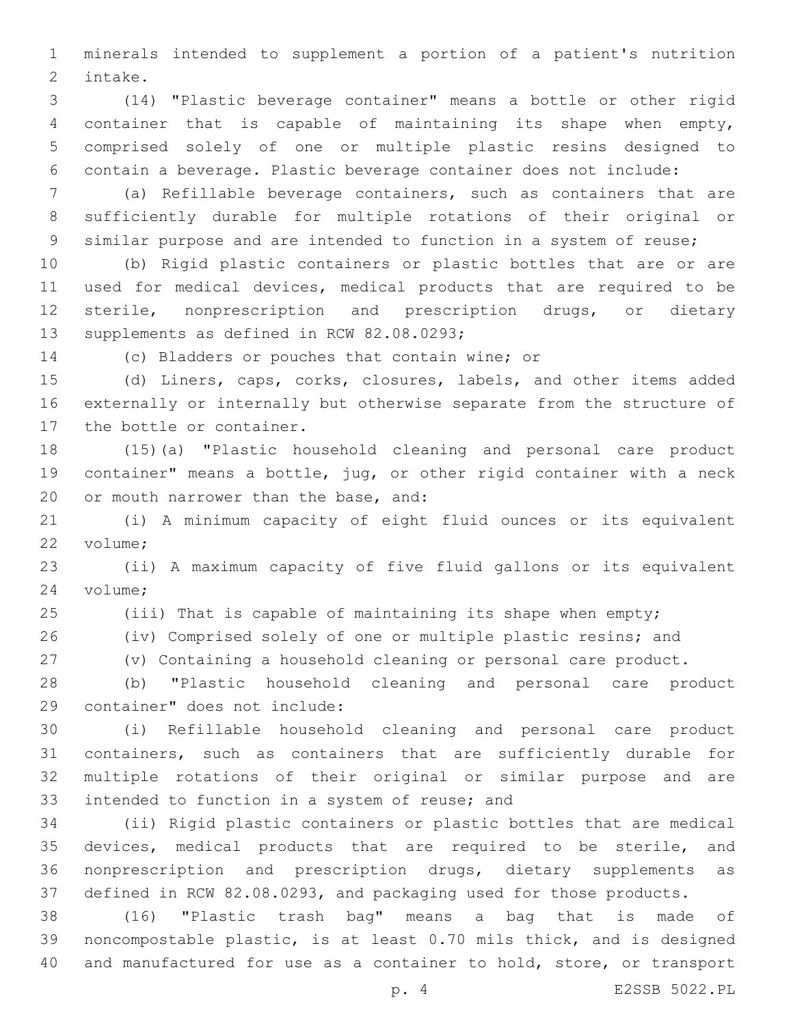minerals intended to supplement a portion of a patient's nutrition 2 intake.

 (14) "Plastic beverage container" means a bottle or other rigid container that is capable of maintaining its shape when empty, comprised solely of one or multiple plastic resins designed to contain a beverage. Plastic beverage container does not include:

 (a) Refillable beverage containers, such as containers that are sufficiently durable for multiple rotations of their original or similar purpose and are intended to function in a system of reuse;

 (b) Rigid plastic containers or plastic bottles that are or are used for medical devices, medical products that are required to be sterile, nonprescription and prescription drugs, or dietary 13 supplements as defined in RCW 82.08.0293;

14 (c) Bladders or pouches that contain wine; or

 (d) Liners, caps, corks, closures, labels, and other items added externally or internally but otherwise separate from the structure of 17 the bottle or container.

 (15)(a) "Plastic household cleaning and personal care product container" means a bottle, jug, or other rigid container with a neck 20 or mouth narrower than the base, and:

 (i) A minimum capacity of eight fluid ounces or its equivalent 22 volume:

 (ii) A maximum capacity of five fluid gallons or its equivalent 24 volume;

(iii) That is capable of maintaining its shape when empty;

(iv) Comprised solely of one or multiple plastic resins; and

(v) Containing a household cleaning or personal care product.

 (b) "Plastic household cleaning and personal care product 29 container" does not include:

 (i) Refillable household cleaning and personal care product containers, such as containers that are sufficiently durable for multiple rotations of their original or similar purpose and are 33 intended to function in a system of reuse; and

 (ii) Rigid plastic containers or plastic bottles that are medical devices, medical products that are required to be sterile, and nonprescription and prescription drugs, dietary supplements as defined in RCW 82.08.0293, and packaging used for those products.

 (16) "Plastic trash bag" means a bag that is made of noncompostable plastic, is at least 0.70 mils thick, and is designed and manufactured for use as a container to hold, store, or transport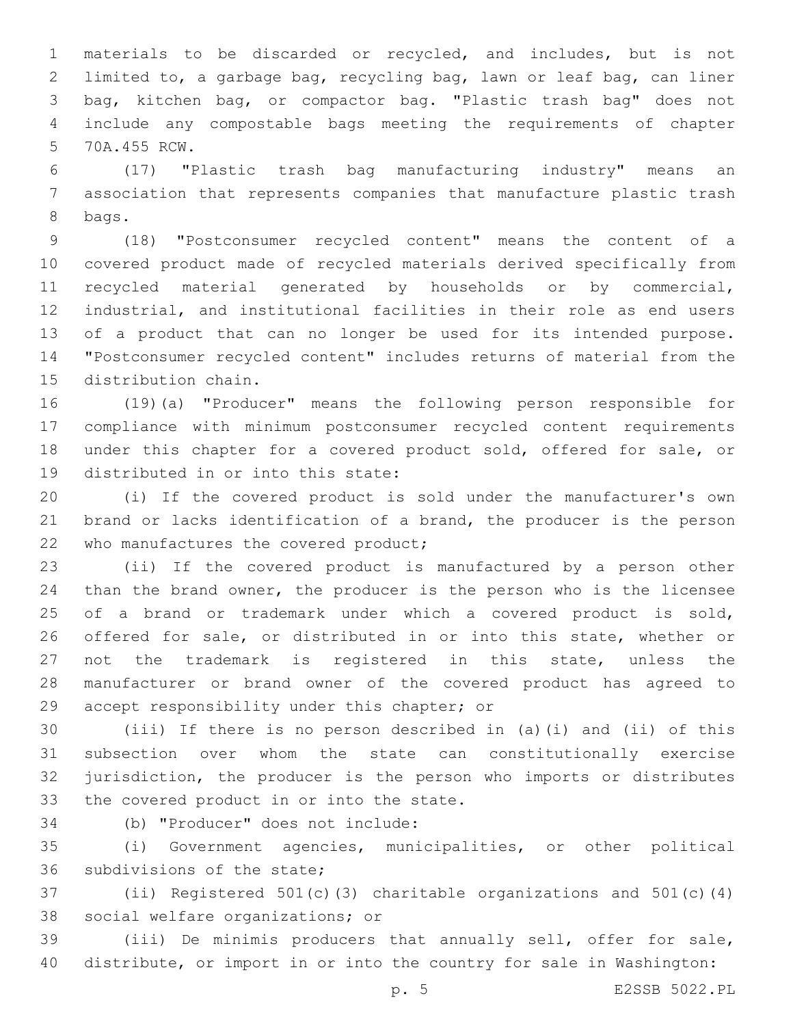materials to be discarded or recycled, and includes, but is not limited to, a garbage bag, recycling bag, lawn or leaf bag, can liner bag, kitchen bag, or compactor bag. "Plastic trash bag" does not include any compostable bags meeting the requirements of chapter 5 70A.455 RCW.

 (17) "Plastic trash bag manufacturing industry" means an association that represents companies that manufacture plastic trash 8 bags.

 (18) "Postconsumer recycled content" means the content of a covered product made of recycled materials derived specifically from recycled material generated by households or by commercial, industrial, and institutional facilities in their role as end users 13 of a product that can no longer be used for its intended purpose. "Postconsumer recycled content" includes returns of material from the 15 distribution chain.

 (19)(a) "Producer" means the following person responsible for compliance with minimum postconsumer recycled content requirements under this chapter for a covered product sold, offered for sale, or 19 distributed in or into this state:

 (i) If the covered product is sold under the manufacturer's own 21 brand or lacks identification of a brand, the producer is the person 22 who manufactures the covered product;

 (ii) If the covered product is manufactured by a person other than the brand owner, the producer is the person who is the licensee of a brand or trademark under which a covered product is sold, offered for sale, or distributed in or into this state, whether or not the trademark is registered in this state, unless the manufacturer or brand owner of the covered product has agreed to 29 accept responsibility under this chapter; or

 (iii) If there is no person described in (a)(i) and (ii) of this subsection over whom the state can constitutionally exercise jurisdiction, the producer is the person who imports or distributes 33 the covered product in or into the state.

(b) "Producer" does not include:34

 (i) Government agencies, municipalities, or other political 36 subdivisions of the state;

 (ii) Registered 501(c)(3) charitable organizations and 501(c)(4) 38 social welfare organizations; or

 (iii) De minimis producers that annually sell, offer for sale, distribute, or import in or into the country for sale in Washington:

p. 5 E2SSB 5022.PL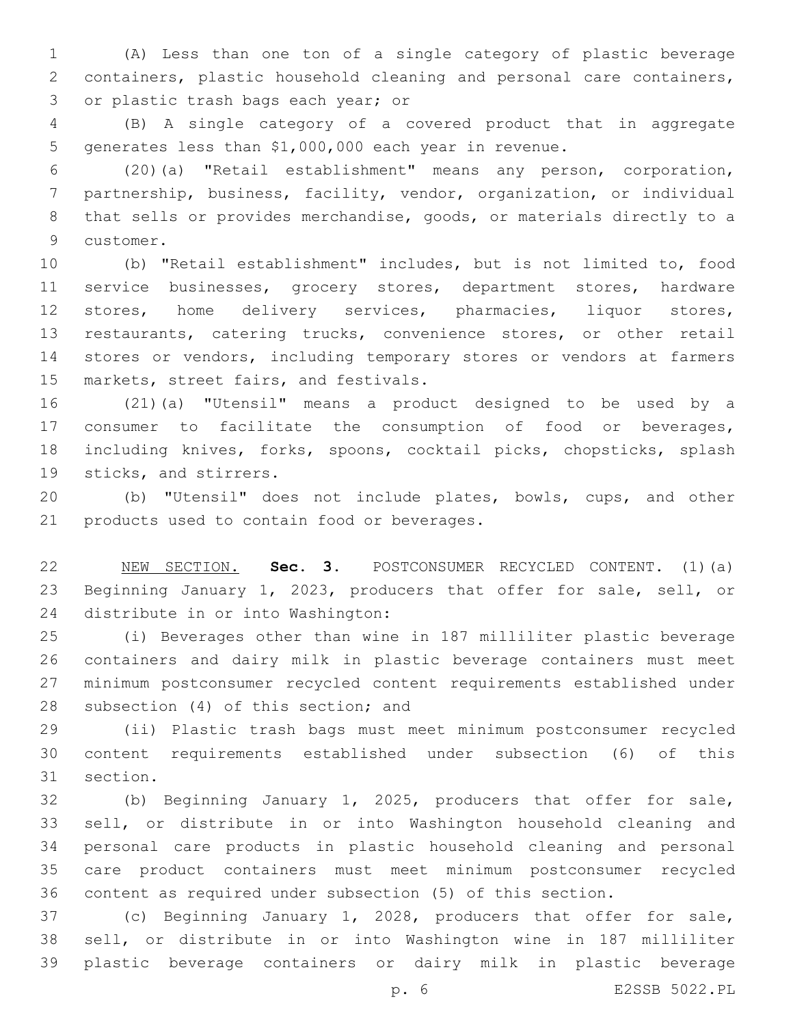(A) Less than one ton of a single category of plastic beverage containers, plastic household cleaning and personal care containers, 3 or plastic trash bags each year; or

 (B) A single category of a covered product that in aggregate generates less than \$1,000,000 each year in revenue.

 (20)(a) "Retail establishment" means any person, corporation, partnership, business, facility, vendor, organization, or individual that sells or provides merchandise, goods, or materials directly to a 9 customer.

 (b) "Retail establishment" includes, but is not limited to, food service businesses, grocery stores, department stores, hardware stores, home delivery services, pharmacies, liquor stores, restaurants, catering trucks, convenience stores, or other retail stores or vendors, including temporary stores or vendors at farmers 15 markets, street fairs, and festivals.

 (21)(a) "Utensil" means a product designed to be used by a consumer to facilitate the consumption of food or beverages, including knives, forks, spoons, cocktail picks, chopsticks, splash 19 sticks, and stirrers.

 (b) "Utensil" does not include plates, bowls, cups, and other 21 products used to contain food or beverages.

 NEW SECTION. **Sec. 3.** POSTCONSUMER RECYCLED CONTENT. (1)(a) Beginning January 1, 2023, producers that offer for sale, sell, or distribute in or into Washington:

 (i) Beverages other than wine in 187 milliliter plastic beverage containers and dairy milk in plastic beverage containers must meet minimum postconsumer recycled content requirements established under 28 subsection (4) of this section; and

 (ii) Plastic trash bags must meet minimum postconsumer recycled content requirements established under subsection (6) of this 31 section.

 (b) Beginning January 1, 2025, producers that offer for sale, sell, or distribute in or into Washington household cleaning and personal care products in plastic household cleaning and personal care product containers must meet minimum postconsumer recycled content as required under subsection (5) of this section.

 (c) Beginning January 1, 2028, producers that offer for sale, sell, or distribute in or into Washington wine in 187 milliliter plastic beverage containers or dairy milk in plastic beverage

p. 6 E2SSB 5022.PL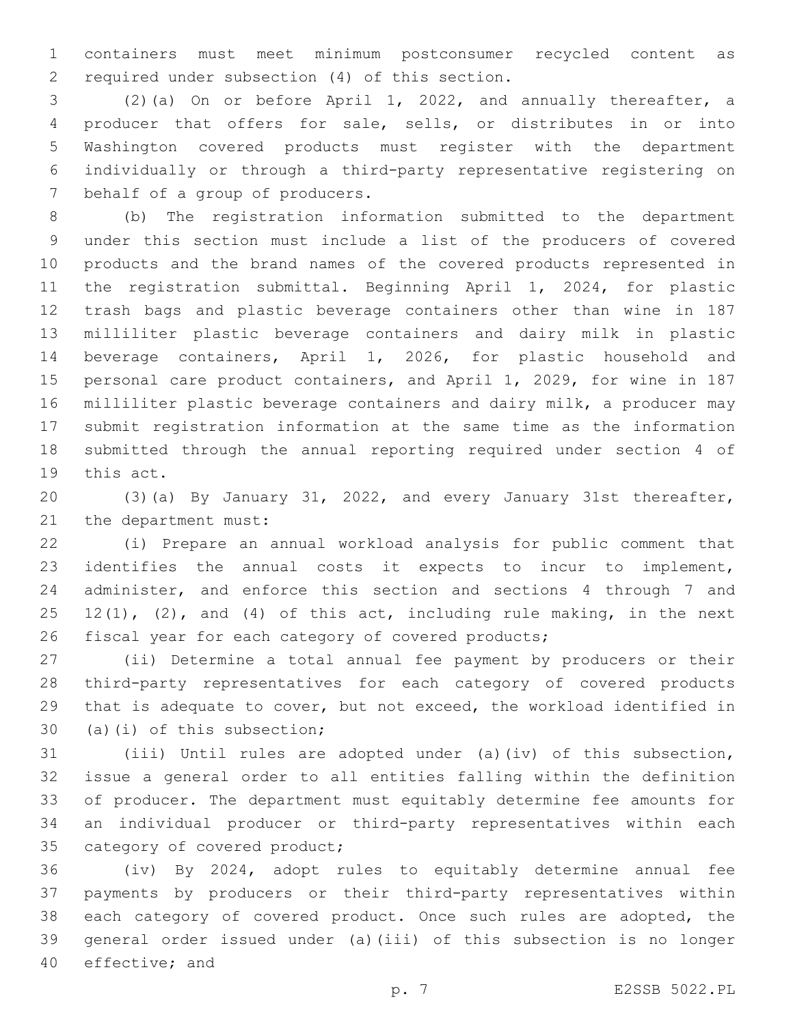containers must meet minimum postconsumer recycled content as 2 required under subsection (4) of this section.

 (2)(a) On or before April 1, 2022, and annually thereafter, a producer that offers for sale, sells, or distributes in or into Washington covered products must register with the department individually or through a third-party representative registering on 7 behalf of a group of producers.

 (b) The registration information submitted to the department under this section must include a list of the producers of covered products and the brand names of the covered products represented in the registration submittal. Beginning April 1, 2024, for plastic trash bags and plastic beverage containers other than wine in 187 milliliter plastic beverage containers and dairy milk in plastic beverage containers, April 1, 2026, for plastic household and personal care product containers, and April 1, 2029, for wine in 187 milliliter plastic beverage containers and dairy milk, a producer may submit registration information at the same time as the information submitted through the annual reporting required under section 4 of 19 this act.

 (3)(a) By January 31, 2022, and every January 31st thereafter, 21 the department must:

 (i) Prepare an annual workload analysis for public comment that identifies the annual costs it expects to incur to implement, administer, and enforce this section and sections 4 through 7 and 25 12(1), (2), and (4) of this act, including rule making, in the next fiscal year for each category of covered products;

 (ii) Determine a total annual fee payment by producers or their third-party representatives for each category of covered products that is adequate to cover, but not exceed, the workload identified in 30 (a)(i) of this subsection;

 (iii) Until rules are adopted under (a)(iv) of this subsection, issue a general order to all entities falling within the definition of producer. The department must equitably determine fee amounts for an individual producer or third-party representatives within each 35 category of covered product;

 (iv) By 2024, adopt rules to equitably determine annual fee payments by producers or their third-party representatives within 38 each category of covered product. Once such rules are adopted, the general order issued under (a)(iii) of this subsection is no longer 40 effective; and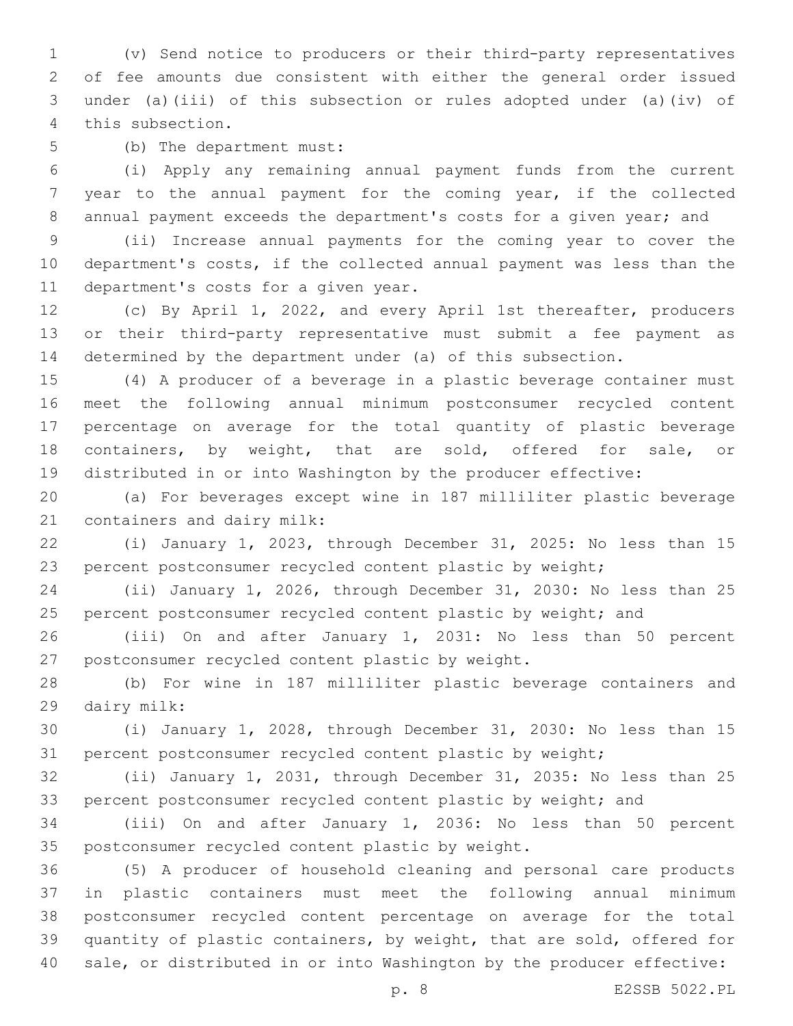(v) Send notice to producers or their third-party representatives of fee amounts due consistent with either the general order issued under (a)(iii) of this subsection or rules adopted under (a)(iv) of 4 this subsection.

5 (b) The department must:

 (i) Apply any remaining annual payment funds from the current year to the annual payment for the coming year, if the collected annual payment exceeds the department's costs for a given year; and

 (ii) Increase annual payments for the coming year to cover the department's costs, if the collected annual payment was less than the 11 department's costs for a given year.

 (c) By April 1, 2022, and every April 1st thereafter, producers or their third-party representative must submit a fee payment as determined by the department under (a) of this subsection.

 (4) A producer of a beverage in a plastic beverage container must meet the following annual minimum postconsumer recycled content percentage on average for the total quantity of plastic beverage containers, by weight, that are sold, offered for sale, or distributed in or into Washington by the producer effective:

 (a) For beverages except wine in 187 milliliter plastic beverage 21 containers and dairy milk:

 (i) January 1, 2023, through December 31, 2025: No less than 15 percent postconsumer recycled content plastic by weight;

 (ii) January 1, 2026, through December 31, 2030: No less than 25 25 percent postconsumer recycled content plastic by weight; and

 (iii) On and after January 1, 2031: No less than 50 percent 27 postconsumer recycled content plastic by weight.

 (b) For wine in 187 milliliter plastic beverage containers and 29 dairy milk:

 (i) January 1, 2028, through December 31, 2030: No less than 15 percent postconsumer recycled content plastic by weight;

 (ii) January 1, 2031, through December 31, 2035: No less than 25 33 percent postconsumer recycled content plastic by weight; and

 (iii) On and after January 1, 2036: No less than 50 percent 35 postconsumer recycled content plastic by weight.

 (5) A producer of household cleaning and personal care products in plastic containers must meet the following annual minimum postconsumer recycled content percentage on average for the total quantity of plastic containers, by weight, that are sold, offered for sale, or distributed in or into Washington by the producer effective: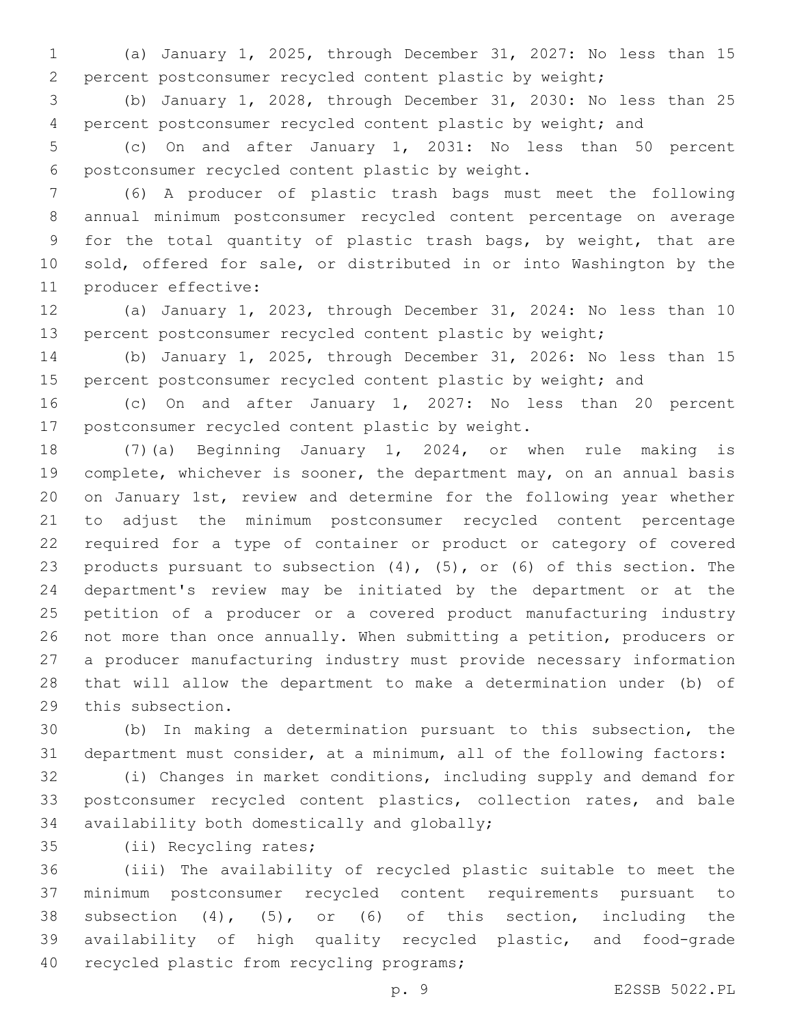(a) January 1, 2025, through December 31, 2027: No less than 15 percent postconsumer recycled content plastic by weight;

 (b) January 1, 2028, through December 31, 2030: No less than 25 percent postconsumer recycled content plastic by weight; and

 (c) On and after January 1, 2031: No less than 50 percent postconsumer recycled content plastic by weight.6

 (6) A producer of plastic trash bags must meet the following annual minimum postconsumer recycled content percentage on average for the total quantity of plastic trash bags, by weight, that are sold, offered for sale, or distributed in or into Washington by the 11 producer effective:

 (a) January 1, 2023, through December 31, 2024: No less than 10 percent postconsumer recycled content plastic by weight;

 (b) January 1, 2025, through December 31, 2026: No less than 15 15 percent postconsumer recycled content plastic by weight; and

 (c) On and after January 1, 2027: No less than 20 percent 17 postconsumer recycled content plastic by weight.

 (7)(a) Beginning January 1, 2024, or when rule making is 19 complete, whichever is sooner, the department may, on an annual basis on January 1st, review and determine for the following year whether to adjust the minimum postconsumer recycled content percentage required for a type of container or product or category of covered products pursuant to subsection (4), (5), or (6) of this section. The department's review may be initiated by the department or at the petition of a producer or a covered product manufacturing industry not more than once annually. When submitting a petition, producers or a producer manufacturing industry must provide necessary information that will allow the department to make a determination under (b) of 29 this subsection.

 (b) In making a determination pursuant to this subsection, the department must consider, at a minimum, all of the following factors:

 (i) Changes in market conditions, including supply and demand for postconsumer recycled content plastics, collection rates, and bale 34 availability both domestically and globally;

35 (ii) Recycling rates;

 (iii) The availability of recycled plastic suitable to meet the minimum postconsumer recycled content requirements pursuant to subsection (4), (5), or (6) of this section, including the availability of high quality recycled plastic, and food-grade 40 recycled plastic from recycling programs;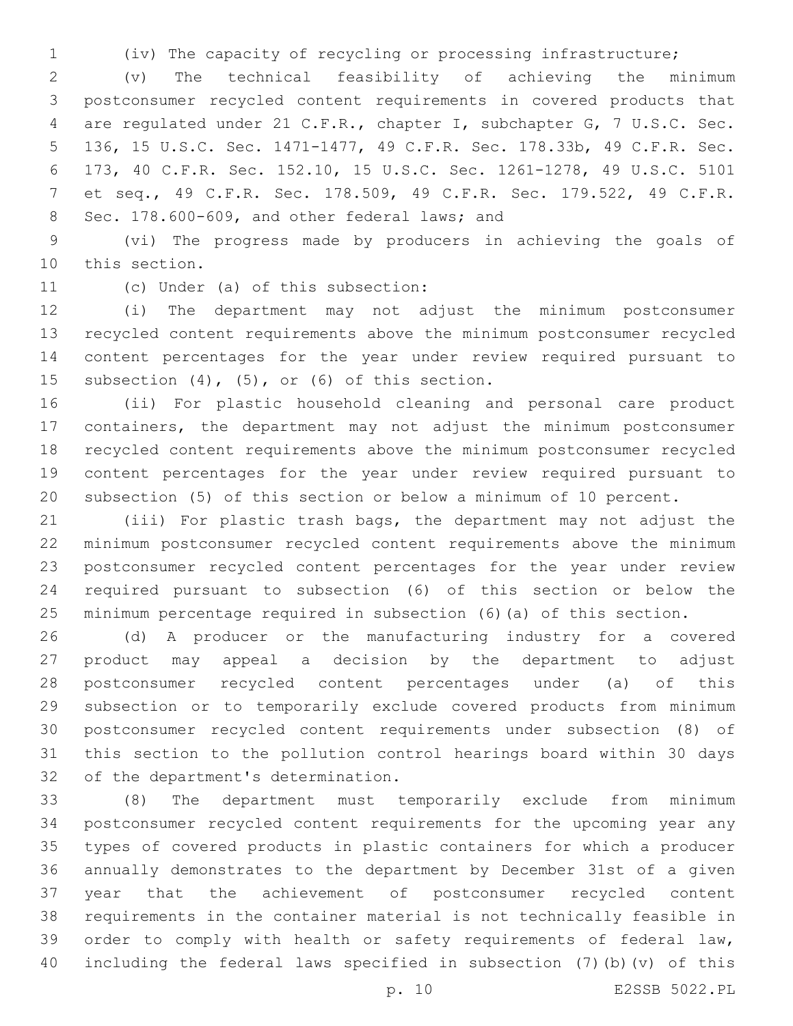(iv) The capacity of recycling or processing infrastructure;

 (v) The technical feasibility of achieving the minimum postconsumer recycled content requirements in covered products that are regulated under 21 C.F.R., chapter I, subchapter G, 7 U.S.C. Sec. 136, 15 U.S.C. Sec. 1471-1477, 49 C.F.R. Sec. 178.33b, 49 C.F.R. Sec. 173, 40 C.F.R. Sec. 152.10, 15 U.S.C. Sec. 1261-1278, 49 U.S.C. 5101 et seq., 49 C.F.R. Sec. 178.509, 49 C.F.R. Sec. 179.522, 49 C.F.R. 8 Sec. 178.600-609, and other federal laws; and

 (vi) The progress made by producers in achieving the goals of 10 this section.

11 (c) Under (a) of this subsection:

 (i) The department may not adjust the minimum postconsumer recycled content requirements above the minimum postconsumer recycled content percentages for the year under review required pursuant to 15 subsection  $(4)$ ,  $(5)$ , or  $(6)$  of this section.

 (ii) For plastic household cleaning and personal care product containers, the department may not adjust the minimum postconsumer recycled content requirements above the minimum postconsumer recycled content percentages for the year under review required pursuant to subsection (5) of this section or below a minimum of 10 percent.

 (iii) For plastic trash bags, the department may not adjust the minimum postconsumer recycled content requirements above the minimum postconsumer recycled content percentages for the year under review required pursuant to subsection (6) of this section or below the minimum percentage required in subsection (6)(a) of this section.

 (d) A producer or the manufacturing industry for a covered product may appeal a decision by the department to adjust postconsumer recycled content percentages under (a) of this subsection or to temporarily exclude covered products from minimum postconsumer recycled content requirements under subsection (8) of this section to the pollution control hearings board within 30 days 32 of the department's determination.

 (8) The department must temporarily exclude from minimum postconsumer recycled content requirements for the upcoming year any types of covered products in plastic containers for which a producer annually demonstrates to the department by December 31st of a given year that the achievement of postconsumer recycled content requirements in the container material is not technically feasible in order to comply with health or safety requirements of federal law, including the federal laws specified in subsection (7)(b)(v) of this

p. 10 E2SSB 5022.PL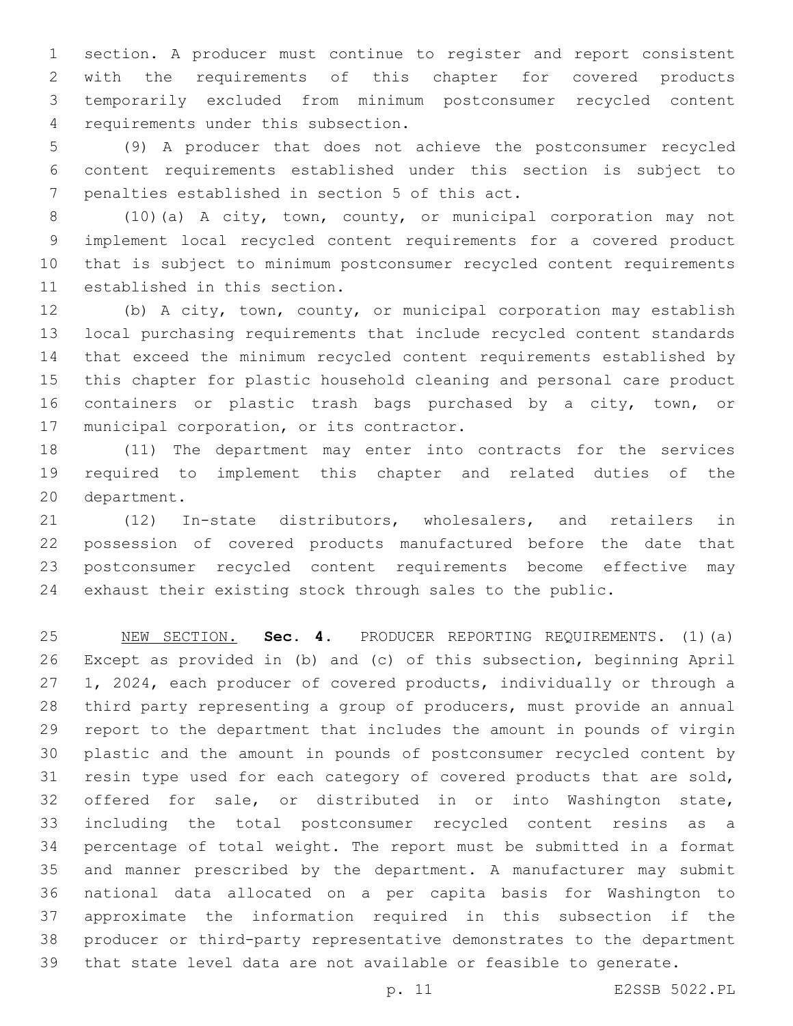section. A producer must continue to register and report consistent with the requirements of this chapter for covered products temporarily excluded from minimum postconsumer recycled content 4 requirements under this subsection.

 (9) A producer that does not achieve the postconsumer recycled content requirements established under this section is subject to 7 penalties established in section 5 of this act.

 (10)(a) A city, town, county, or municipal corporation may not implement local recycled content requirements for a covered product that is subject to minimum postconsumer recycled content requirements 11 established in this section.

 (b) A city, town, county, or municipal corporation may establish local purchasing requirements that include recycled content standards that exceed the minimum recycled content requirements established by this chapter for plastic household cleaning and personal care product containers or plastic trash bags purchased by a city, town, or 17 municipal corporation, or its contractor.

 (11) The department may enter into contracts for the services required to implement this chapter and related duties of the 20 department.

 (12) In-state distributors, wholesalers, and retailers in possession of covered products manufactured before the date that postconsumer recycled content requirements become effective may exhaust their existing stock through sales to the public.

 NEW SECTION. **Sec. 4.** PRODUCER REPORTING REQUIREMENTS. (1)(a) Except as provided in (b) and (c) of this subsection, beginning April 1, 2024, each producer of covered products, individually or through a third party representing a group of producers, must provide an annual report to the department that includes the amount in pounds of virgin plastic and the amount in pounds of postconsumer recycled content by resin type used for each category of covered products that are sold, offered for sale, or distributed in or into Washington state, including the total postconsumer recycled content resins as a percentage of total weight. The report must be submitted in a format and manner prescribed by the department. A manufacturer may submit national data allocated on a per capita basis for Washington to approximate the information required in this subsection if the producer or third-party representative demonstrates to the department that state level data are not available or feasible to generate.

p. 11 E2SSB 5022.PL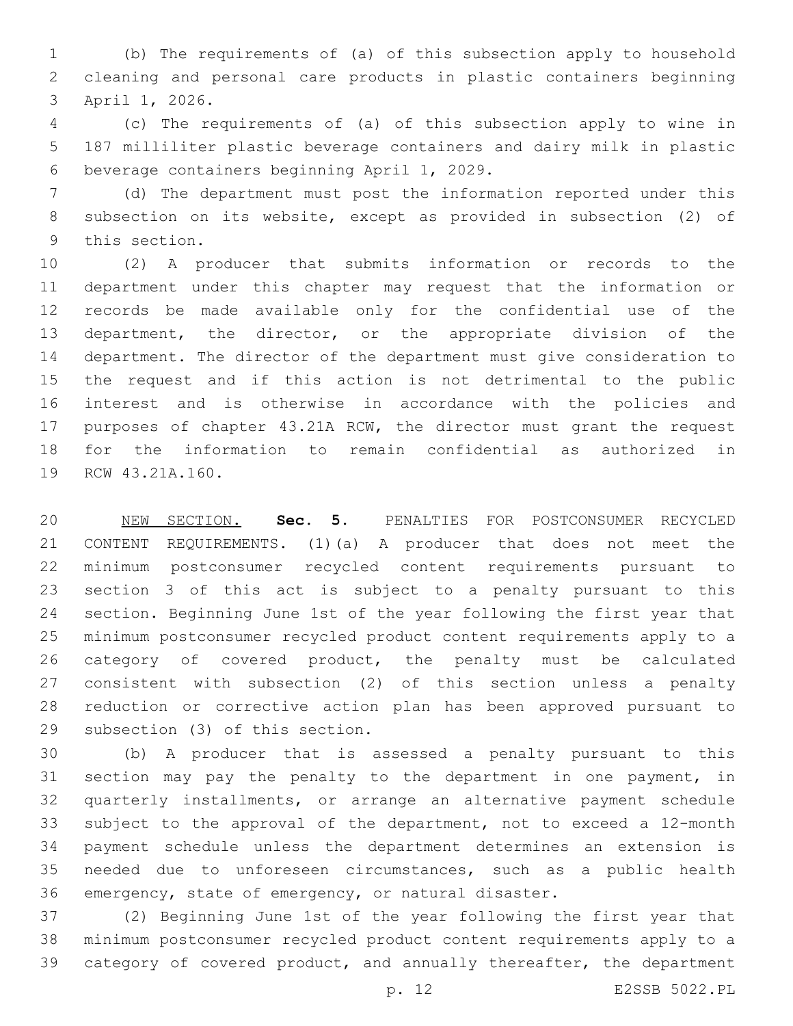(b) The requirements of (a) of this subsection apply to household cleaning and personal care products in plastic containers beginning 3 April 1, 2026.

 (c) The requirements of (a) of this subsection apply to wine in 187 milliliter plastic beverage containers and dairy milk in plastic 6 beverage containers beginning April 1, 2029.

 (d) The department must post the information reported under this subsection on its website, except as provided in subsection (2) of 9 this section.

 (2) A producer that submits information or records to the department under this chapter may request that the information or records be made available only for the confidential use of the 13 department, the director, or the appropriate division of the department. The director of the department must give consideration to the request and if this action is not detrimental to the public interest and is otherwise in accordance with the policies and purposes of chapter 43.21A RCW, the director must grant the request for the information to remain confidential as authorized in 19 RCW 43.21A.160.

 NEW SECTION. **Sec. 5.** PENALTIES FOR POSTCONSUMER RECYCLED CONTENT REQUIREMENTS. (1)(a) A producer that does not meet the minimum postconsumer recycled content requirements pursuant to section 3 of this act is subject to a penalty pursuant to this section. Beginning June 1st of the year following the first year that minimum postconsumer recycled product content requirements apply to a category of covered product, the penalty must be calculated consistent with subsection (2) of this section unless a penalty reduction or corrective action plan has been approved pursuant to subsection (3) of this section.

 (b) A producer that is assessed a penalty pursuant to this section may pay the penalty to the department in one payment, in quarterly installments, or arrange an alternative payment schedule subject to the approval of the department, not to exceed a 12-month payment schedule unless the department determines an extension is needed due to unforeseen circumstances, such as a public health emergency, state of emergency, or natural disaster.

 (2) Beginning June 1st of the year following the first year that minimum postconsumer recycled product content requirements apply to a category of covered product, and annually thereafter, the department

p. 12 E2SSB 5022.PL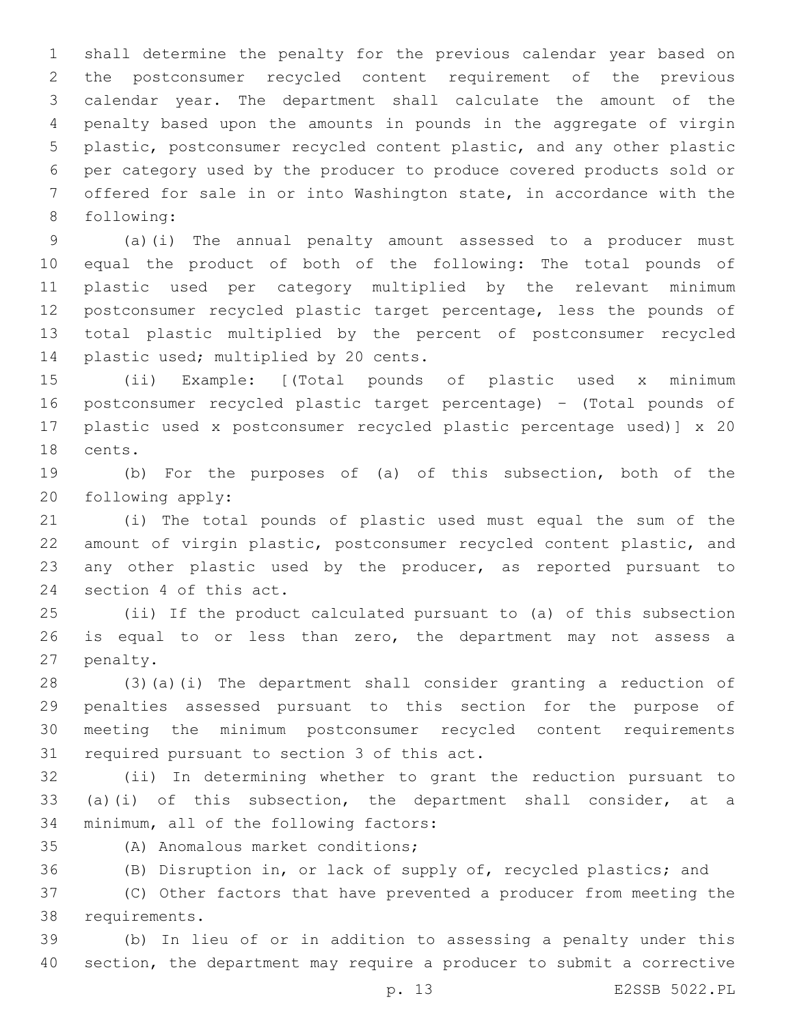shall determine the penalty for the previous calendar year based on the postconsumer recycled content requirement of the previous calendar year. The department shall calculate the amount of the penalty based upon the amounts in pounds in the aggregate of virgin plastic, postconsumer recycled content plastic, and any other plastic per category used by the producer to produce covered products sold or offered for sale in or into Washington state, in accordance with the 8 following:

 (a)(i) The annual penalty amount assessed to a producer must equal the product of both of the following: The total pounds of plastic used per category multiplied by the relevant minimum postconsumer recycled plastic target percentage, less the pounds of total plastic multiplied by the percent of postconsumer recycled 14 plastic used; multiplied by 20 cents.

 (ii) Example: [(Total pounds of plastic used x minimum postconsumer recycled plastic target percentage) – (Total pounds of plastic used x postconsumer recycled plastic percentage used)] x 20 18 cents.

 (b) For the purposes of (a) of this subsection, both of the 20 following apply:

 (i) The total pounds of plastic used must equal the sum of the amount of virgin plastic, postconsumer recycled content plastic, and any other plastic used by the producer, as reported pursuant to 24 section 4 of this act.

 (ii) If the product calculated pursuant to (a) of this subsection is equal to or less than zero, the department may not assess a 27 penalty.

 (3)(a)(i) The department shall consider granting a reduction of penalties assessed pursuant to this section for the purpose of meeting the minimum postconsumer recycled content requirements 31 required pursuant to section 3 of this act.

 (ii) In determining whether to grant the reduction pursuant to (a)(i) of this subsection, the department shall consider, at a 34 minimum, all of the following factors:

(A) Anomalous market conditions;35

(B) Disruption in, or lack of supply of, recycled plastics; and

 (C) Other factors that have prevented a producer from meeting the 38 requirements.

 (b) In lieu of or in addition to assessing a penalty under this section, the department may require a producer to submit a corrective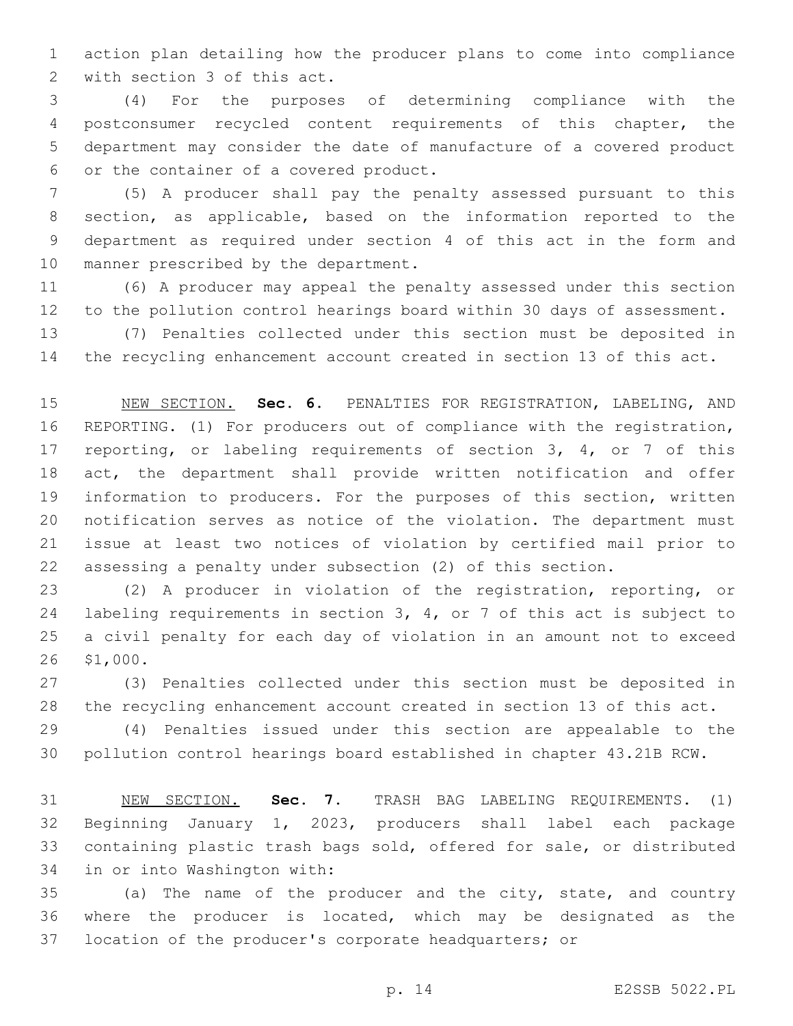action plan detailing how the producer plans to come into compliance 2 with section 3 of this act.

 (4) For the purposes of determining compliance with the postconsumer recycled content requirements of this chapter, the department may consider the date of manufacture of a covered product 6 or the container of a covered product.

 (5) A producer shall pay the penalty assessed pursuant to this section, as applicable, based on the information reported to the department as required under section 4 of this act in the form and 10 manner prescribed by the department.

 (6) A producer may appeal the penalty assessed under this section to the pollution control hearings board within 30 days of assessment.

 (7) Penalties collected under this section must be deposited in the recycling enhancement account created in section 13 of this act.

 NEW SECTION. **Sec. 6.** PENALTIES FOR REGISTRATION, LABELING, AND REPORTING. (1) For producers out of compliance with the registration, 17 reporting, or labeling requirements of section 3, 4, or 7 of this act, the department shall provide written notification and offer information to producers. For the purposes of this section, written notification serves as notice of the violation. The department must issue at least two notices of violation by certified mail prior to assessing a penalty under subsection (2) of this section.

 (2) A producer in violation of the registration, reporting, or labeling requirements in section 3, 4, or 7 of this act is subject to a civil penalty for each day of violation in an amount not to exceed 26 \$1,000.

 (3) Penalties collected under this section must be deposited in the recycling enhancement account created in section 13 of this act.

 (4) Penalties issued under this section are appealable to the pollution control hearings board established in chapter 43.21B RCW.

 NEW SECTION. **Sec. 7.** TRASH BAG LABELING REQUIREMENTS. (1) Beginning January 1, 2023, producers shall label each package containing plastic trash bags sold, offered for sale, or distributed in or into Washington with:

 (a) The name of the producer and the city, state, and country where the producer is located, which may be designated as the location of the producer's corporate headquarters; or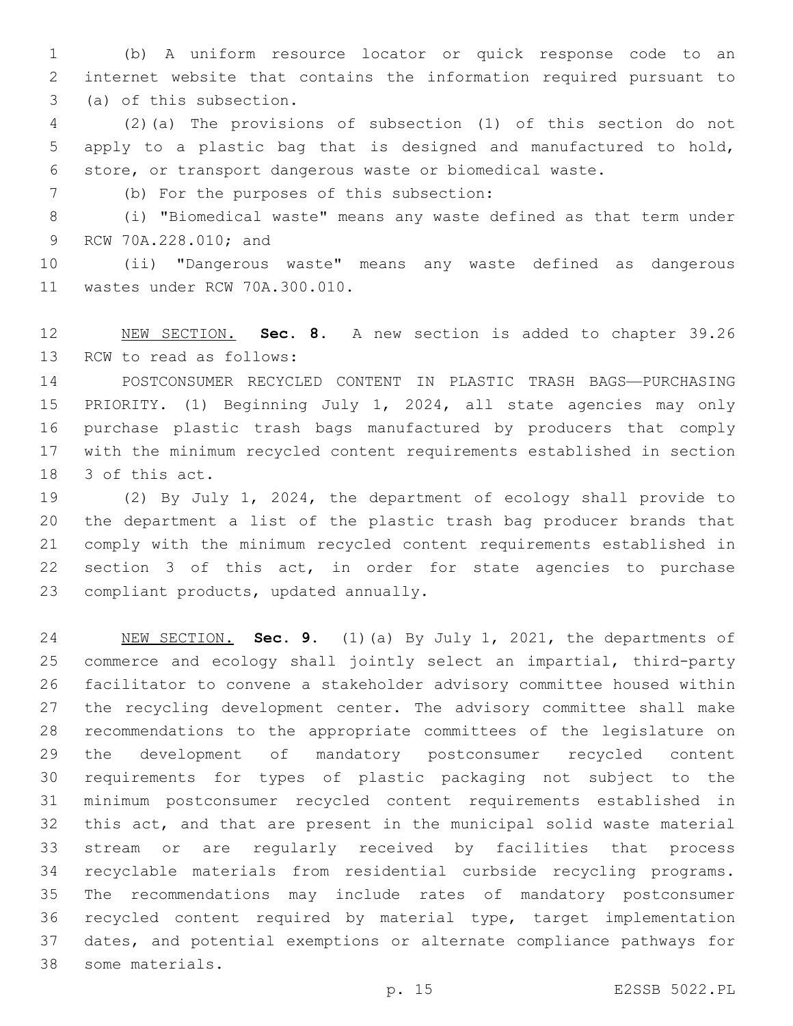(b) A uniform resource locator or quick response code to an internet website that contains the information required pursuant to 3 (a) of this subsection.

 (2)(a) The provisions of subsection (1) of this section do not apply to a plastic bag that is designed and manufactured to hold, store, or transport dangerous waste or biomedical waste.

(b) For the purposes of this subsection:7

 (i) "Biomedical waste" means any waste defined as that term under 9 RCW 70A.228.010; and

 (ii) "Dangerous waste" means any waste defined as dangerous 11 wastes under RCW 70A.300.010.

 NEW SECTION. **Sec. 8.** A new section is added to chapter 39.26 13 RCW to read as follows:

 POSTCONSUMER RECYCLED CONTENT IN PLASTIC TRASH BAGS—PURCHASING PRIORITY. (1) Beginning July 1, 2024, all state agencies may only purchase plastic trash bags manufactured by producers that comply with the minimum recycled content requirements established in section 18 3 of this act.

 (2) By July 1, 2024, the department of ecology shall provide to the department a list of the plastic trash bag producer brands that comply with the minimum recycled content requirements established in section 3 of this act, in order for state agencies to purchase 23 compliant products, updated annually.

 NEW SECTION. **Sec. 9.** (1)(a) By July 1, 2021, the departments of commerce and ecology shall jointly select an impartial, third-party facilitator to convene a stakeholder advisory committee housed within the recycling development center. The advisory committee shall make recommendations to the appropriate committees of the legislature on the development of mandatory postconsumer recycled content requirements for types of plastic packaging not subject to the minimum postconsumer recycled content requirements established in this act, and that are present in the municipal solid waste material stream or are regularly received by facilities that process recyclable materials from residential curbside recycling programs. The recommendations may include rates of mandatory postconsumer recycled content required by material type, target implementation dates, and potential exemptions or alternate compliance pathways for some materials.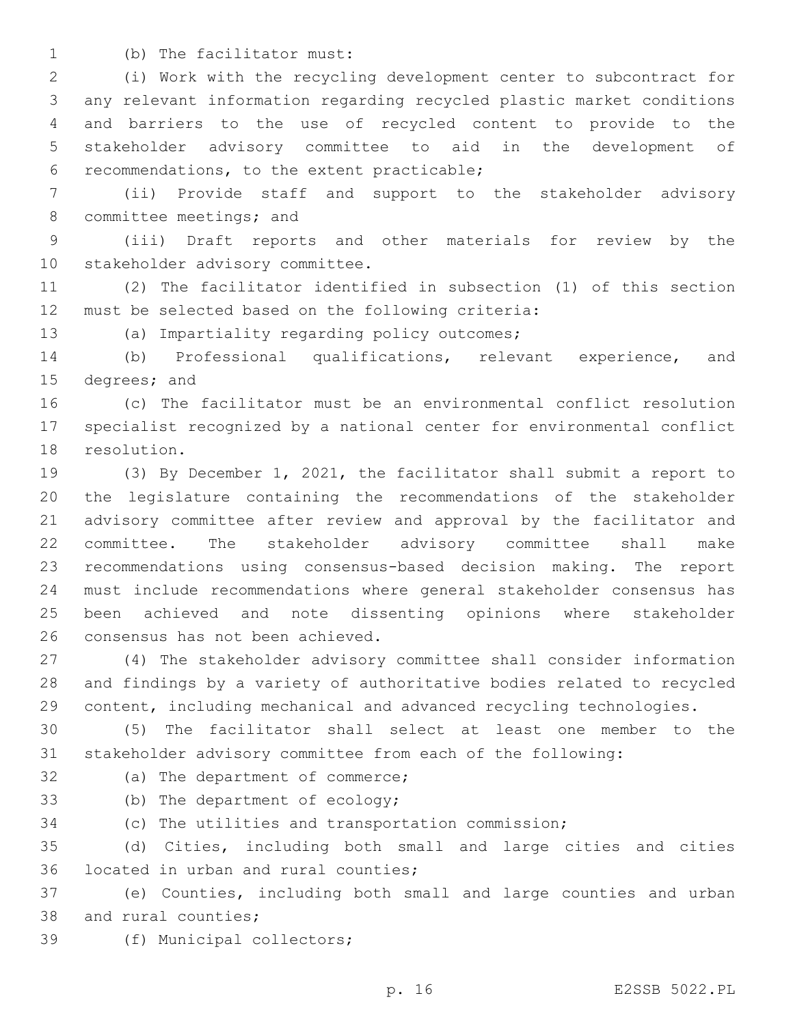1 (b) The facilitator must:

 (i) Work with the recycling development center to subcontract for any relevant information regarding recycled plastic market conditions and barriers to the use of recycled content to provide to the stakeholder advisory committee to aid in the development of recommendations, to the extent practicable;6

 (ii) Provide staff and support to the stakeholder advisory 8 committee meetings; and

 (iii) Draft reports and other materials for review by the 10 stakeholder advisory committee.

 (2) The facilitator identified in subsection (1) of this section 12 must be selected based on the following criteria:

13 (a) Impartiality regarding policy outcomes;

 (b) Professional qualifications, relevant experience, and 15 degrees; and

 (c) The facilitator must be an environmental conflict resolution specialist recognized by a national center for environmental conflict 18 resolution.

 (3) By December 1, 2021, the facilitator shall submit a report to the legislature containing the recommendations of the stakeholder advisory committee after review and approval by the facilitator and committee. The stakeholder advisory committee shall make recommendations using consensus-based decision making. The report must include recommendations where general stakeholder consensus has been achieved and note dissenting opinions where stakeholder 26 consensus has not been achieved.

 (4) The stakeholder advisory committee shall consider information and findings by a variety of authoritative bodies related to recycled content, including mechanical and advanced recycling technologies.

 (5) The facilitator shall select at least one member to the stakeholder advisory committee from each of the following:

32 (a) The department of commerce;

33 (b) The department of ecology;

(c) The utilities and transportation commission;

 (d) Cities, including both small and large cities and cities 36 located in urban and rural counties;

 (e) Counties, including both small and large counties and urban 38 and rural counties;

39 (f) Municipal collectors;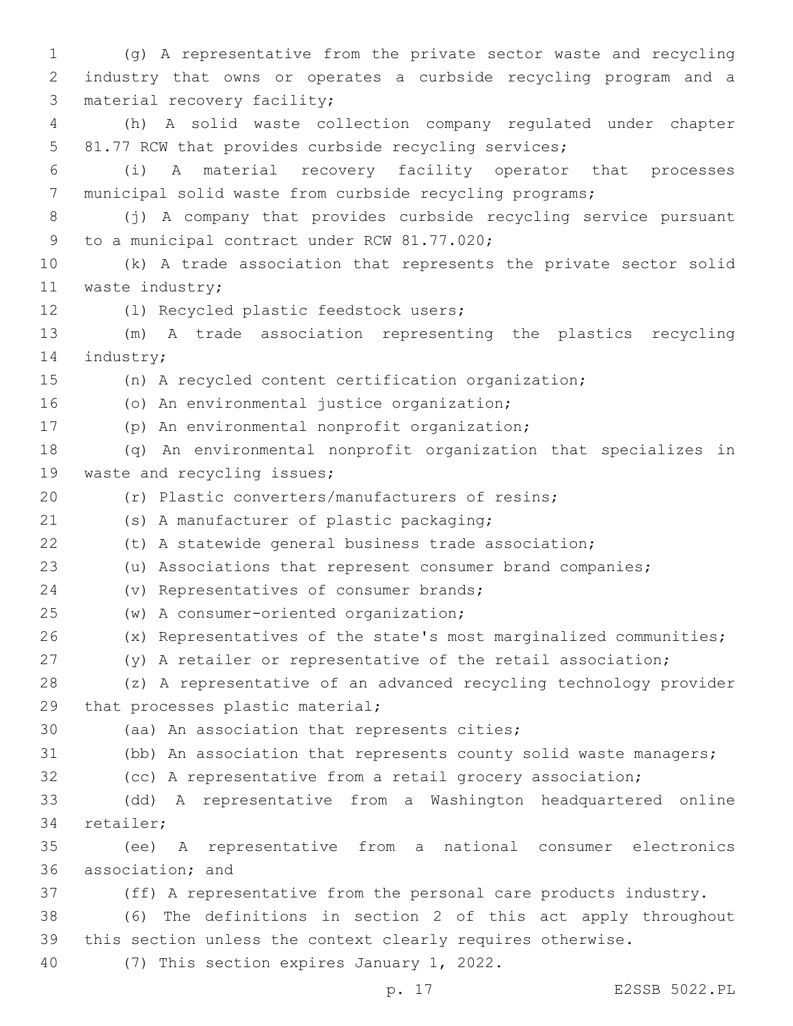1 (g) A representative from the private sector waste and recycling 2 industry that owns or operates a curbside recycling program and a 3 material recovery facility; 4 (h) A solid waste collection company regulated under chapter 5 81.77 RCW that provides curbside recycling services; 6 (i) A material recovery facility operator that processes 7 municipal solid waste from curbside recycling programs; 8 (j) A company that provides curbside recycling service pursuant 9 to a municipal contract under RCW 81.77.020; 10 (k) A trade association that represents the private sector solid 11 waste industry; (l) Recycled plastic feedstock users;12 13 (m) A trade association representing the plastics recycling 14 industry; 15 (n) A recycled content certification organization; 16 (o) An environmental justice organization; 17 (p) An environmental nonprofit organization; 18 (q) An environmental nonprofit organization that specializes in 19 waste and recycling issues; 20 (r) Plastic converters/manufacturers of resins; (s) A manufacturer of plastic packaging;21 22 (t) A statewide general business trade association; 23 (u) Associations that represent consumer brand companies; 24 (v) Representatives of consumer brands; (w) A consumer-oriented organization;25 26 (x) Representatives of the state's most marginalized communities; 27 (y) A retailer or representative of the retail association; 28 (z) A representative of an advanced recycling technology provider 29 that processes plastic material; 30 (aa) An association that represents cities; 31 (bb) An association that represents county solid waste managers; 32 (cc) A representative from a retail grocery association; 33 (dd) A representative from a Washington headquartered online 34 retailer; 35 (ee) A representative from a national consumer electronics 36 association; and 37 (ff) A representative from the personal care products industry. 38 (6) The definitions in section 2 of this act apply throughout 39 this section unless the context clearly requires otherwise. 40 (7) This section expires January 1, 2022.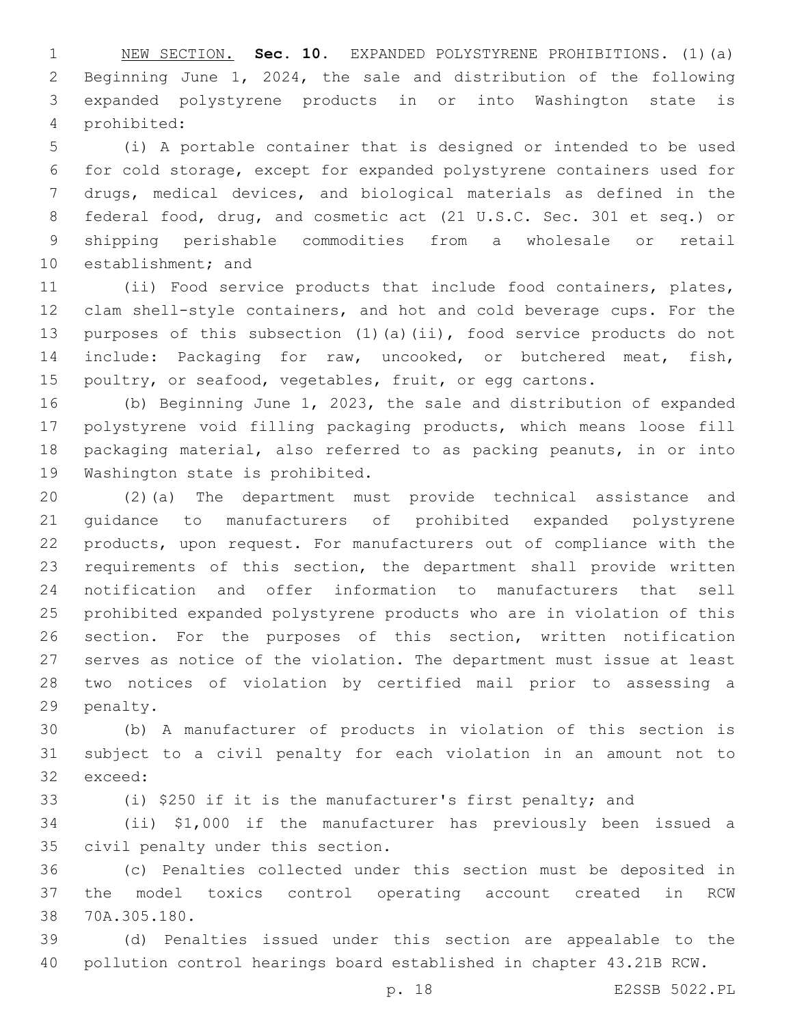NEW SECTION. **Sec. 10.** EXPANDED POLYSTYRENE PROHIBITIONS. (1)(a) Beginning June 1, 2024, the sale and distribution of the following expanded polystyrene products in or into Washington state is prohibited:

 (i) A portable container that is designed or intended to be used for cold storage, except for expanded polystyrene containers used for drugs, medical devices, and biological materials as defined in the federal food, drug, and cosmetic act (21 U.S.C. Sec. 301 et seq.) or shipping perishable commodities from a wholesale or retail 10 establishment; and

 (ii) Food service products that include food containers, plates, clam shell-style containers, and hot and cold beverage cups. For the purposes of this subsection (1)(a)(ii), food service products do not include: Packaging for raw, uncooked, or butchered meat, fish, 15 poultry, or seafood, vegetables, fruit, or egg cartons.

 (b) Beginning June 1, 2023, the sale and distribution of expanded polystyrene void filling packaging products, which means loose fill packaging material, also referred to as packing peanuts, in or into 19 Washington state is prohibited.

 (2)(a) The department must provide technical assistance and guidance to manufacturers of prohibited expanded polystyrene products, upon request. For manufacturers out of compliance with the requirements of this section, the department shall provide written notification and offer information to manufacturers that sell prohibited expanded polystyrene products who are in violation of this section. For the purposes of this section, written notification serves as notice of the violation. The department must issue at least two notices of violation by certified mail prior to assessing a 29 penalty.

 (b) A manufacturer of products in violation of this section is subject to a civil penalty for each violation in an amount not to 32 exceed:

(i) \$250 if it is the manufacturer's first penalty; and

 (ii) \$1,000 if the manufacturer has previously been issued a 35 civil penalty under this section.

 (c) Penalties collected under this section must be deposited in the model toxics control operating account created in RCW 38 70A.305.180.

 (d) Penalties issued under this section are appealable to the pollution control hearings board established in chapter 43.21B RCW.

p. 18 E2SSB 5022.PL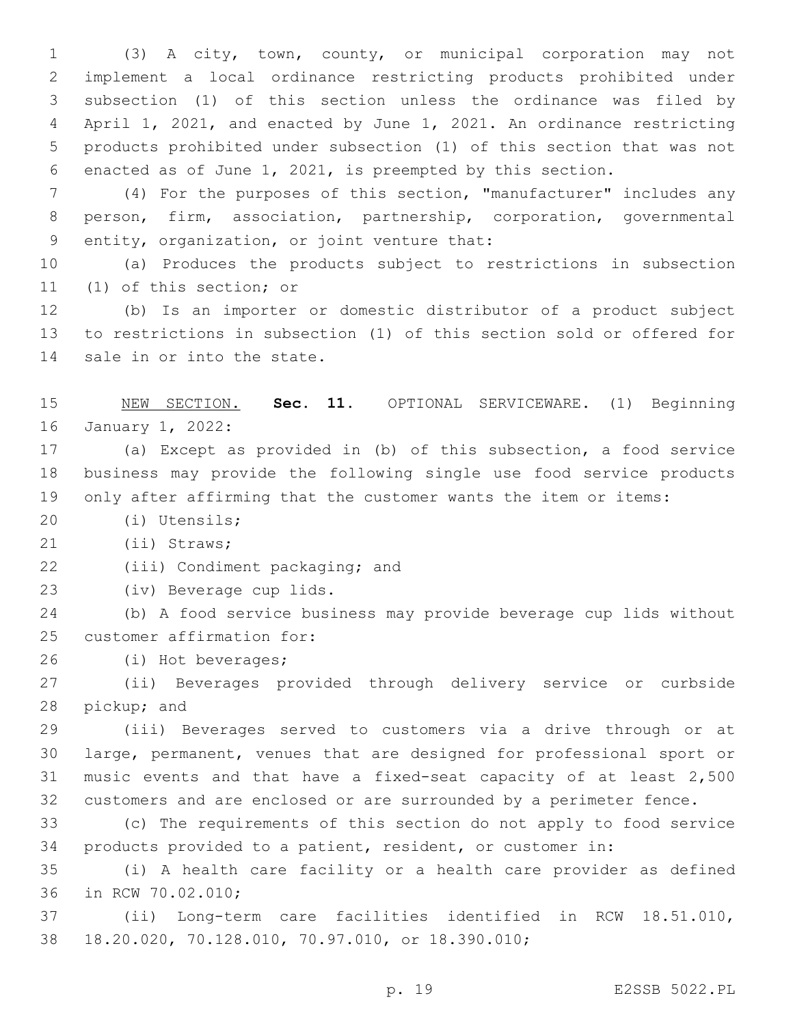(3) A city, town, county, or municipal corporation may not implement a local ordinance restricting products prohibited under subsection (1) of this section unless the ordinance was filed by April 1, 2021, and enacted by June 1, 2021. An ordinance restricting products prohibited under subsection (1) of this section that was not enacted as of June 1, 2021, is preempted by this section.

 (4) For the purposes of this section, "manufacturer" includes any person, firm, association, partnership, corporation, governmental 9 entity, organization, or joint venture that:

 (a) Produces the products subject to restrictions in subsection 11 (1) of this section; or

 (b) Is an importer or domestic distributor of a product subject to restrictions in subsection (1) of this section sold or offered for 14 sale in or into the state.

 NEW SECTION. **Sec. 11.** OPTIONAL SERVICEWARE. (1) Beginning January 1, 2022:

 (a) Except as provided in (b) of this subsection, a food service business may provide the following single use food service products only after affirming that the customer wants the item or items:

(i) Utensils;20

(ii) Straws;21

22 (iii) Condiment packaging; and

23 (iv) Beverage cup lids.

 (b) A food service business may provide beverage cup lids without 25 customer affirmation for:

(i) Hot beverages;26

 (ii) Beverages provided through delivery service or curbside 28 pickup; and

 (iii) Beverages served to customers via a drive through or at large, permanent, venues that are designed for professional sport or music events and that have a fixed-seat capacity of at least 2,500 customers and are enclosed or are surrounded by a perimeter fence.

 (c) The requirements of this section do not apply to food service products provided to a patient, resident, or customer in:

 (i) A health care facility or a health care provider as defined 36 in RCW 70.02.010;

 (ii) Long-term care facilities identified in RCW 18.51.010, 18.20.020, 70.128.010, 70.97.010, or 18.390.010;38

p. 19 E2SSB 5022.PL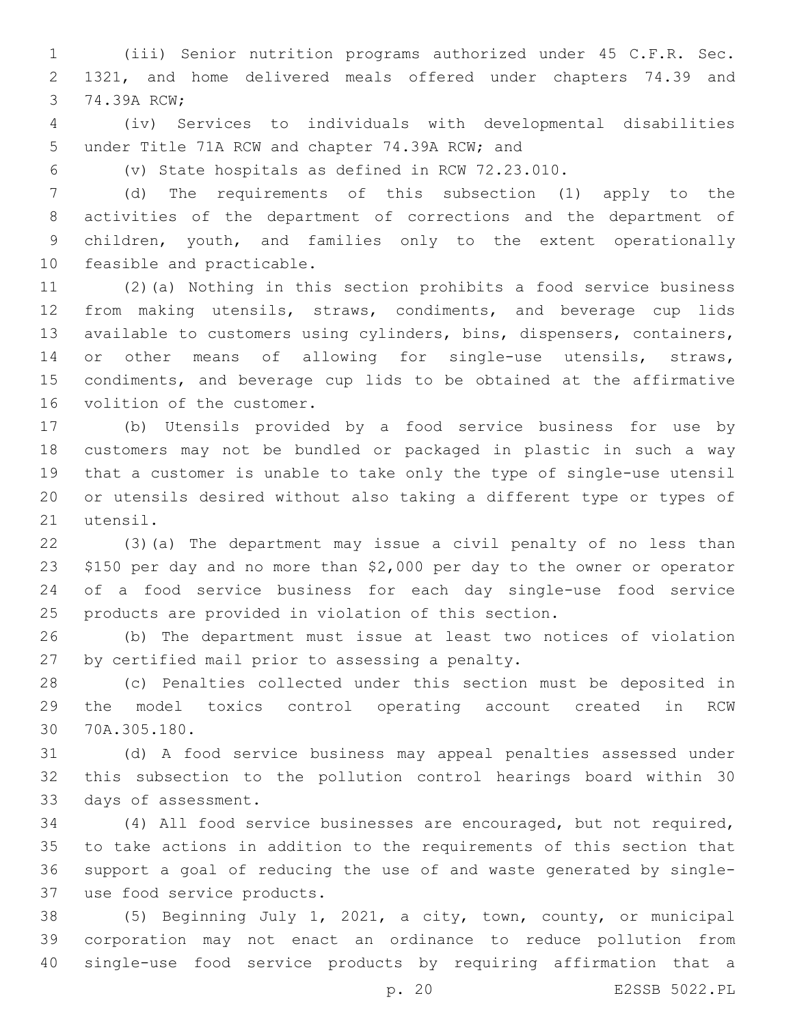(iii) Senior nutrition programs authorized under 45 C.F.R. Sec. 1321, and home delivered meals offered under chapters 74.39 and 3 74.39A RCW;

 (iv) Services to individuals with developmental disabilities 5 under Title 71A RCW and chapter 74.39A RCW; and

(v) State hospitals as defined in RCW 72.23.010.

 (d) The requirements of this subsection (1) apply to the activities of the department of corrections and the department of children, youth, and families only to the extent operationally 10 feasible and practicable.

 (2)(a) Nothing in this section prohibits a food service business from making utensils, straws, condiments, and beverage cup lids available to customers using cylinders, bins, dispensers, containers, 14 or other means of allowing for single-use utensils, straws, condiments, and beverage cup lids to be obtained at the affirmative 16 volition of the customer.

 (b) Utensils provided by a food service business for use by customers may not be bundled or packaged in plastic in such a way that a customer is unable to take only the type of single-use utensil or utensils desired without also taking a different type or types of 21 utensil.

 (3)(a) The department may issue a civil penalty of no less than \$150 per day and no more than \$2,000 per day to the owner or operator of a food service business for each day single-use food service products are provided in violation of this section.

 (b) The department must issue at least two notices of violation 27 by certified mail prior to assessing a penalty.

 (c) Penalties collected under this section must be deposited in the model toxics control operating account created in RCW 30 70A.305.180.

 (d) A food service business may appeal penalties assessed under this subsection to the pollution control hearings board within 30 33 days of assessment.

 (4) All food service businesses are encouraged, but not required, to take actions in addition to the requirements of this section that support a goal of reducing the use of and waste generated by singleuse food service products.37

 (5) Beginning July 1, 2021, a city, town, county, or municipal corporation may not enact an ordinance to reduce pollution from single-use food service products by requiring affirmation that a

p. 20 E2SSB 5022.PL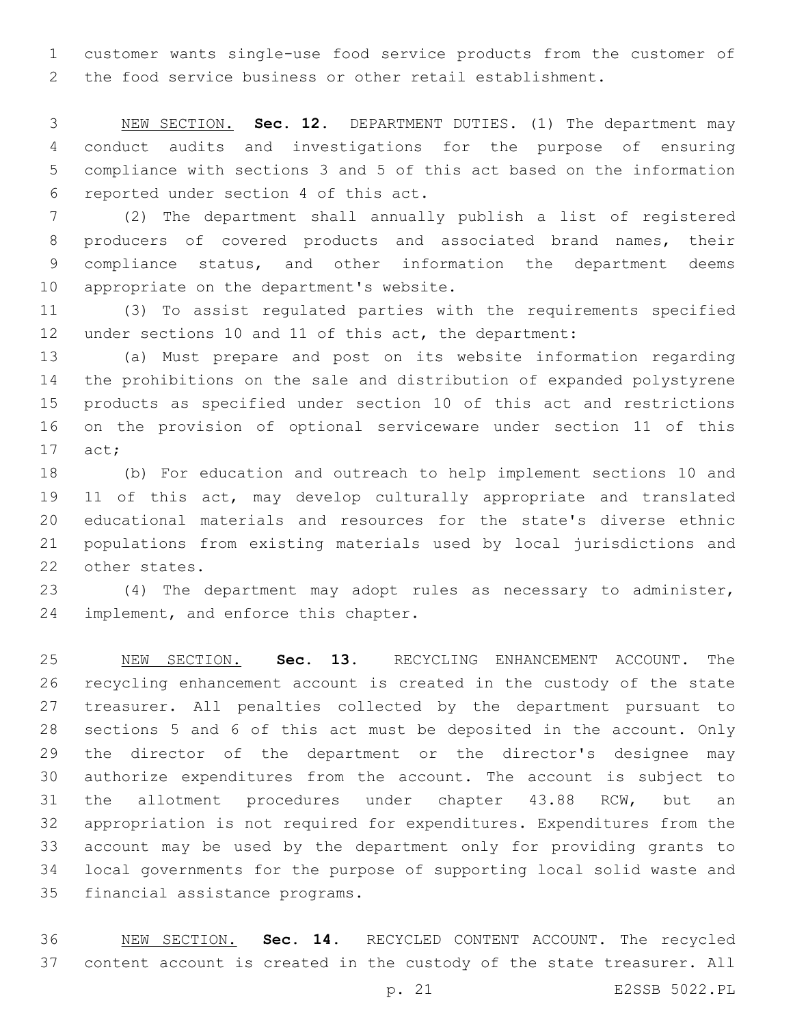customer wants single-use food service products from the customer of the food service business or other retail establishment.

 NEW SECTION. **Sec. 12.** DEPARTMENT DUTIES. (1) The department may conduct audits and investigations for the purpose of ensuring compliance with sections 3 and 5 of this act based on the information reported under section 4 of this act.

 (2) The department shall annually publish a list of registered producers of covered products and associated brand names, their compliance status, and other information the department deems 10 appropriate on the department's website.

 (3) To assist regulated parties with the requirements specified under sections 10 and 11 of this act, the department:

 (a) Must prepare and post on its website information regarding the prohibitions on the sale and distribution of expanded polystyrene products as specified under section 10 of this act and restrictions on the provision of optional serviceware under section 11 of this 17 act;

 (b) For education and outreach to help implement sections 10 and 11 of this act, may develop culturally appropriate and translated educational materials and resources for the state's diverse ethnic populations from existing materials used by local jurisdictions and 22 other states.

 (4) The department may adopt rules as necessary to administer, 24 implement, and enforce this chapter.

 NEW SECTION. **Sec. 13.** RECYCLING ENHANCEMENT ACCOUNT. The recycling enhancement account is created in the custody of the state treasurer. All penalties collected by the department pursuant to sections 5 and 6 of this act must be deposited in the account. Only the director of the department or the director's designee may authorize expenditures from the account. The account is subject to the allotment procedures under chapter 43.88 RCW, but an appropriation is not required for expenditures. Expenditures from the account may be used by the department only for providing grants to local governments for the purpose of supporting local solid waste and financial assistance programs.

 NEW SECTION. **Sec. 14.** RECYCLED CONTENT ACCOUNT. The recycled content account is created in the custody of the state treasurer. All

p. 21 E2SSB 5022.PL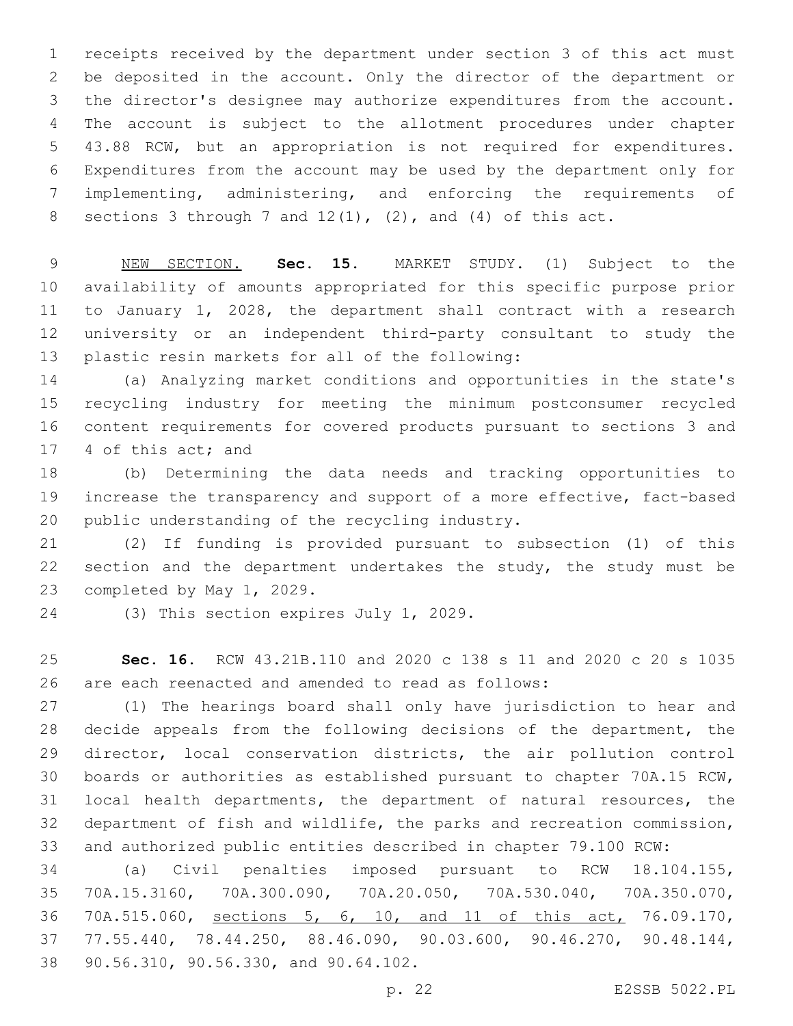receipts received by the department under section 3 of this act must be deposited in the account. Only the director of the department or the director's designee may authorize expenditures from the account. The account is subject to the allotment procedures under chapter 43.88 RCW, but an appropriation is not required for expenditures. Expenditures from the account may be used by the department only for implementing, administering, and enforcing the requirements of 8 sections 3 through 7 and  $12(1)$ ,  $(2)$ , and  $(4)$  of this act.

 NEW SECTION. **Sec. 15.** MARKET STUDY. (1) Subject to the availability of amounts appropriated for this specific purpose prior to January 1, 2028, the department shall contract with a research university or an independent third-party consultant to study the plastic resin markets for all of the following:

 (a) Analyzing market conditions and opportunities in the state's recycling industry for meeting the minimum postconsumer recycled content requirements for covered products pursuant to sections 3 and 17 4 of this act; and

 (b) Determining the data needs and tracking opportunities to increase the transparency and support of a more effective, fact-based 20 public understanding of the recycling industry.

 (2) If funding is provided pursuant to subsection (1) of this 22 section and the department undertakes the study, the study must be 23 completed by May 1, 2029.

24 (3) This section expires July 1, 2029.

 **Sec. 16.** RCW 43.21B.110 and 2020 c 138 s 11 and 2020 c 20 s 1035 are each reenacted and amended to read as follows:

 (1) The hearings board shall only have jurisdiction to hear and decide appeals from the following decisions of the department, the director, local conservation districts, the air pollution control boards or authorities as established pursuant to chapter 70A.15 RCW, local health departments, the department of natural resources, the department of fish and wildlife, the parks and recreation commission, and authorized public entities described in chapter 79.100 RCW:

 (a) Civil penalties imposed pursuant to RCW 18.104.155, 70A.15.3160, 70A.300.090, 70A.20.050, 70A.530.040, 70A.350.070, 70A.515.060, sections 5, 6, 10, and 11 of this act, 76.09.170, 77.55.440, 78.44.250, 88.46.090, 90.03.600, 90.46.270, 90.48.144, 38 90.56.310, 90.56.330, and 90.64.102.

p. 22 E2SSB 5022.PL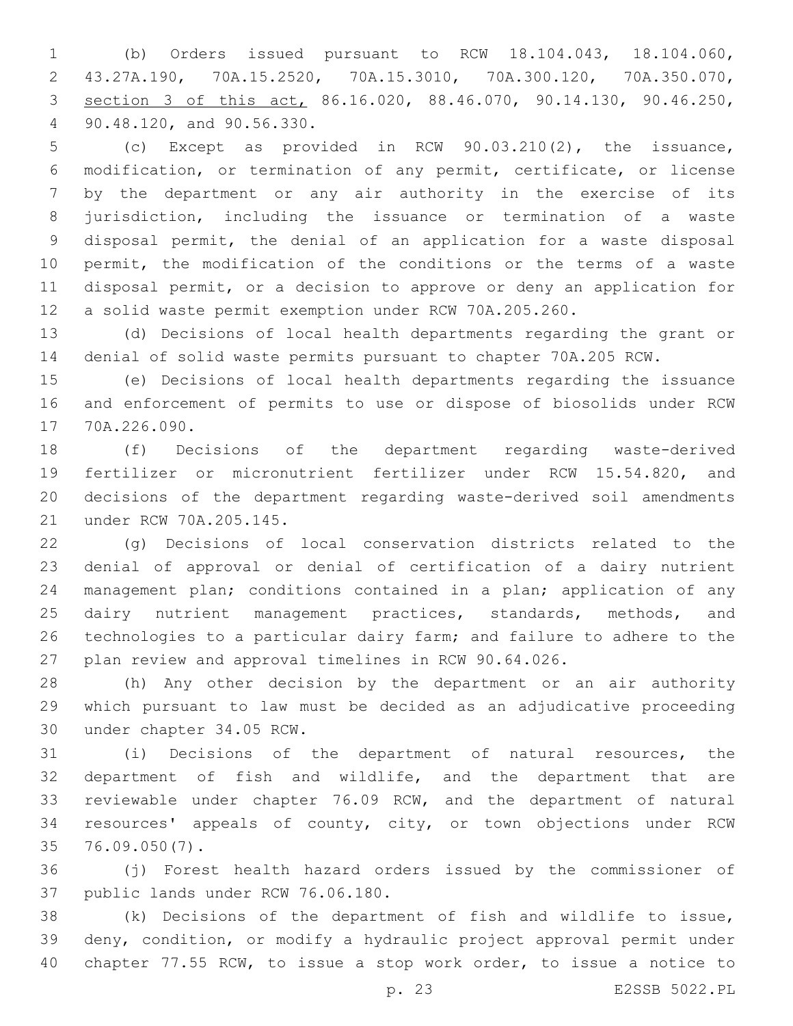(b) Orders issued pursuant to RCW 18.104.043, 18.104.060, 43.27A.190, 70A.15.2520, 70A.15.3010, 70A.300.120, 70A.350.070, section 3 of this act, 86.16.020, 88.46.070, 90.14.130, 90.46.250, 90.48.120, and 90.56.330.4

 (c) Except as provided in RCW 90.03.210(2), the issuance, modification, or termination of any permit, certificate, or license by the department or any air authority in the exercise of its jurisdiction, including the issuance or termination of a waste disposal permit, the denial of an application for a waste disposal permit, the modification of the conditions or the terms of a waste disposal permit, or a decision to approve or deny an application for a solid waste permit exemption under RCW 70A.205.260.

 (d) Decisions of local health departments regarding the grant or denial of solid waste permits pursuant to chapter 70A.205 RCW.

 (e) Decisions of local health departments regarding the issuance and enforcement of permits to use or dispose of biosolids under RCW 17 70A.226.090.

 (f) Decisions of the department regarding waste-derived fertilizer or micronutrient fertilizer under RCW 15.54.820, and decisions of the department regarding waste-derived soil amendments 21 under RCW 70A.205.145.

 (g) Decisions of local conservation districts related to the denial of approval or denial of certification of a dairy nutrient management plan; conditions contained in a plan; application of any 25 dairy nutrient management practices, standards, methods, and technologies to a particular dairy farm; and failure to adhere to the plan review and approval timelines in RCW 90.64.026.

 (h) Any other decision by the department or an air authority which pursuant to law must be decided as an adjudicative proceeding 30 under chapter 34.05 RCW.

 (i) Decisions of the department of natural resources, the department of fish and wildlife, and the department that are reviewable under chapter 76.09 RCW, and the department of natural resources' appeals of county, city, or town objections under RCW 76.09.050(7).35

 (j) Forest health hazard orders issued by the commissioner of 37 public lands under RCW 76.06.180.

 (k) Decisions of the department of fish and wildlife to issue, deny, condition, or modify a hydraulic project approval permit under chapter 77.55 RCW, to issue a stop work order, to issue a notice to

p. 23 E2SSB 5022.PL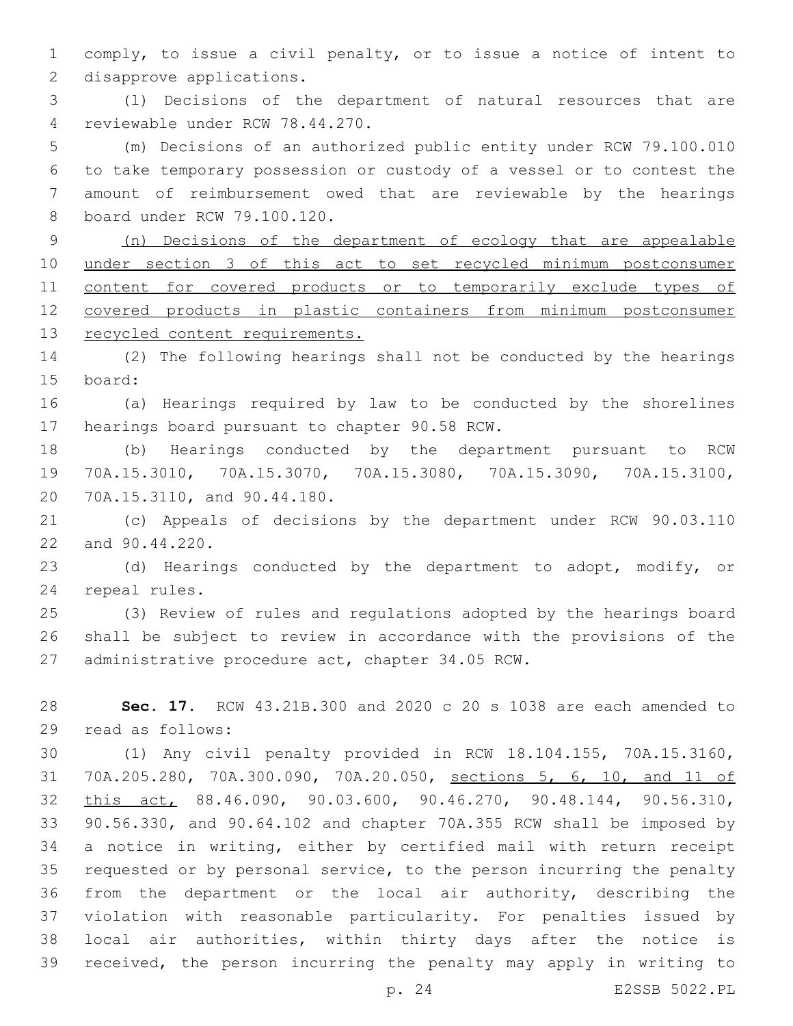comply, to issue a civil penalty, or to issue a notice of intent to 2 disapprove applications.

 (l) Decisions of the department of natural resources that are reviewable under RCW 78.44.270.4

 (m) Decisions of an authorized public entity under RCW 79.100.010 to take temporary possession or custody of a vessel or to contest the amount of reimbursement owed that are reviewable by the hearings 8 board under RCW 79.100.120.

 (n) Decisions of the department of ecology that are appealable under section 3 of this act to set recycled minimum postconsumer content for covered products or to temporarily exclude types of covered products in plastic containers from minimum postconsumer recycled content requirements.

 (2) The following hearings shall not be conducted by the hearings 15 board:

 (a) Hearings required by law to be conducted by the shorelines 17 hearings board pursuant to chapter 90.58 RCW.

 (b) Hearings conducted by the department pursuant to RCW 70A.15.3010, 70A.15.3070, 70A.15.3080, 70A.15.3090, 70A.15.3100, 20 70A.15.3110, and 90.44.180.

 (c) Appeals of decisions by the department under RCW 90.03.110 22 and 90.44.220.

 (d) Hearings conducted by the department to adopt, modify, or 24 repeal rules.

 (3) Review of rules and regulations adopted by the hearings board shall be subject to review in accordance with the provisions of the 27 administrative procedure act, chapter 34.05 RCW.

 **Sec. 17.** RCW 43.21B.300 and 2020 c 20 s 1038 are each amended to 29 read as follows:

 (1) Any civil penalty provided in RCW 18.104.155, 70A.15.3160, 70A.205.280, 70A.300.090, 70A.20.050, sections 5, 6, 10, and 11 of this act, 88.46.090, 90.03.600, 90.46.270, 90.48.144, 90.56.310, 90.56.330, and 90.64.102 and chapter 70A.355 RCW shall be imposed by a notice in writing, either by certified mail with return receipt requested or by personal service, to the person incurring the penalty from the department or the local air authority, describing the violation with reasonable particularity. For penalties issued by local air authorities, within thirty days after the notice is received, the person incurring the penalty may apply in writing to

p. 24 E2SSB 5022.PL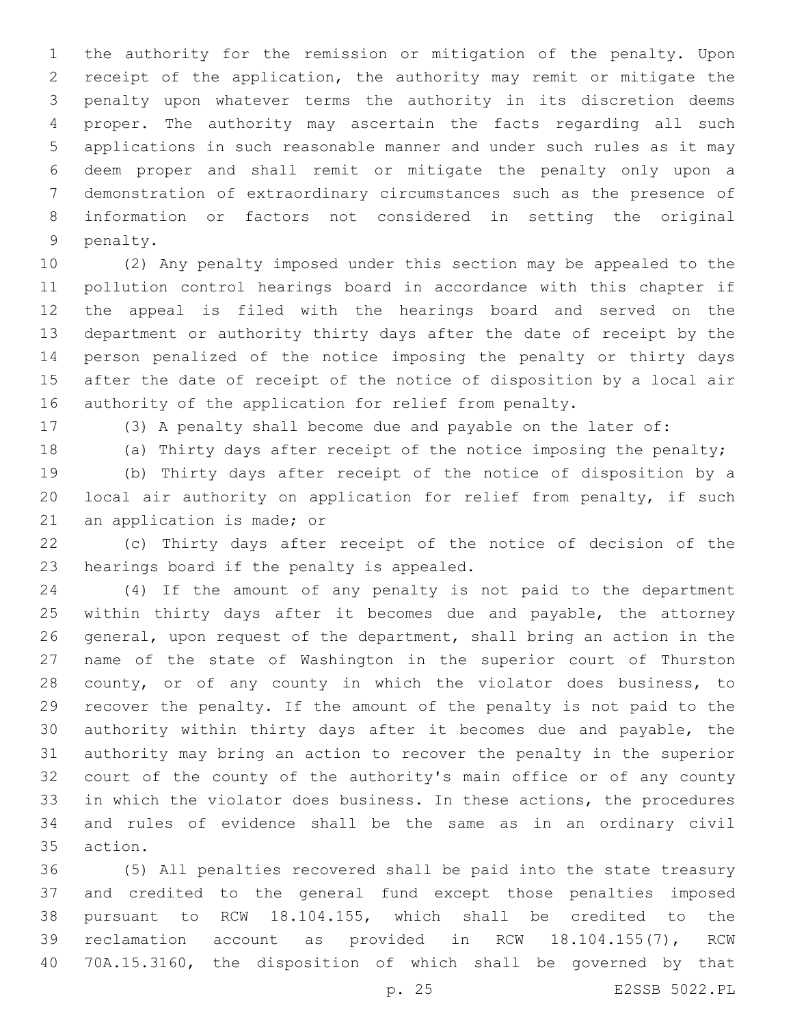the authority for the remission or mitigation of the penalty. Upon receipt of the application, the authority may remit or mitigate the penalty upon whatever terms the authority in its discretion deems proper. The authority may ascertain the facts regarding all such applications in such reasonable manner and under such rules as it may deem proper and shall remit or mitigate the penalty only upon a demonstration of extraordinary circumstances such as the presence of information or factors not considered in setting the original 9 penalty.

 (2) Any penalty imposed under this section may be appealed to the pollution control hearings board in accordance with this chapter if the appeal is filed with the hearings board and served on the department or authority thirty days after the date of receipt by the person penalized of the notice imposing the penalty or thirty days after the date of receipt of the notice of disposition by a local air authority of the application for relief from penalty.

(3) A penalty shall become due and payable on the later of:

18 (a) Thirty days after receipt of the notice imposing the penalty; (b) Thirty days after receipt of the notice of disposition by a local air authority on application for relief from penalty, if such 21 an application is made; or

 (c) Thirty days after receipt of the notice of decision of the 23 hearings board if the penalty is appealed.

 (4) If the amount of any penalty is not paid to the department 25 within thirty days after it becomes due and payable, the attorney general, upon request of the department, shall bring an action in the name of the state of Washington in the superior court of Thurston county, or of any county in which the violator does business, to recover the penalty. If the amount of the penalty is not paid to the authority within thirty days after it becomes due and payable, the authority may bring an action to recover the penalty in the superior court of the county of the authority's main office or of any county in which the violator does business. In these actions, the procedures and rules of evidence shall be the same as in an ordinary civil 35 action.

 (5) All penalties recovered shall be paid into the state treasury and credited to the general fund except those penalties imposed pursuant to RCW 18.104.155, which shall be credited to the reclamation account as provided in RCW 18.104.155(7), RCW 70A.15.3160, the disposition of which shall be governed by that

p. 25 E2SSB 5022.PL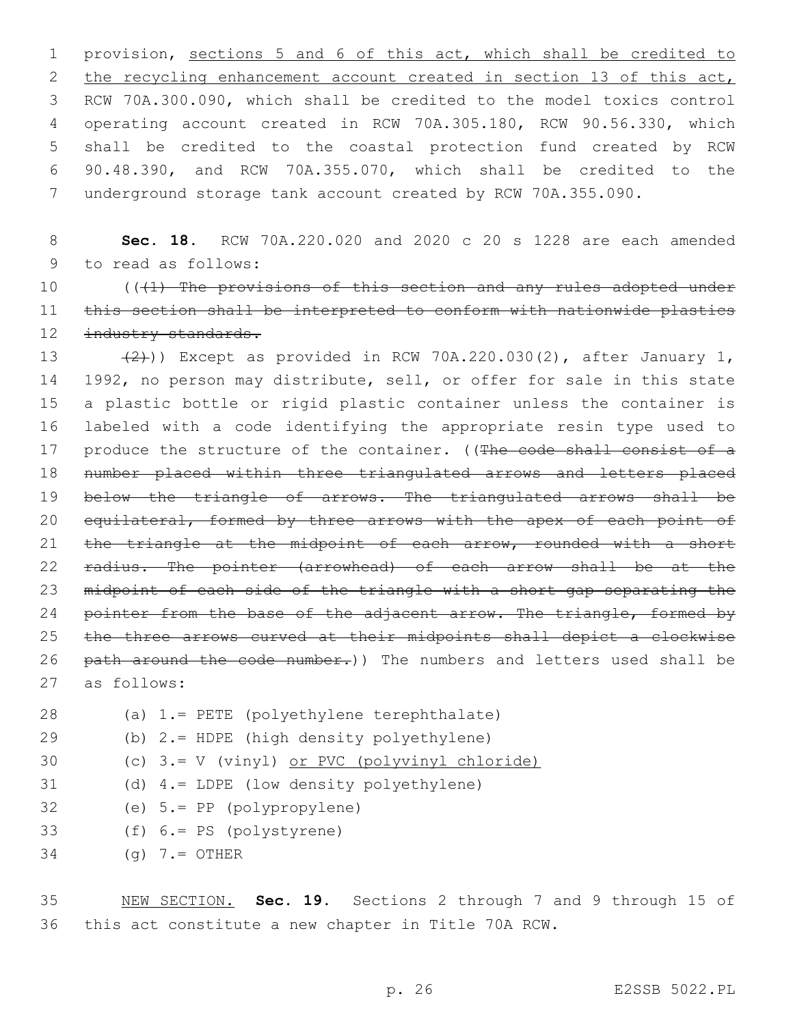provision, sections 5 and 6 of this act, which shall be credited to 2 the recycling enhancement account created in section 13 of this act, RCW 70A.300.090, which shall be credited to the model toxics control operating account created in RCW 70A.305.180, RCW 90.56.330, which shall be credited to the coastal protection fund created by RCW 90.48.390, and RCW 70A.355.070, which shall be credited to the underground storage tank account created by RCW 70A.355.090.

8 **Sec. 18.** RCW 70A.220.020 and 2020 c 20 s 1228 are each amended 9 to read as follows:

10 (((41) The provisions of this section and any rules adopted under 11 this section shall be interpreted to conform with nationwide plastics 12 industry standards.

13  $(2)$ )) Except as provided in RCW 70A.220.030(2), after January 1, 14 1992, no person may distribute, sell, or offer for sale in this state 15 a plastic bottle or rigid plastic container unless the container is 16 labeled with a code identifying the appropriate resin type used to 17 produce the structure of the container. ((The code shall consist of a 18 number placed within three triangulated arrows and letters placed 19 below the triangle of arrows. The triangulated arrows shall be 20 equilateral, formed by three arrows with the apex of each point of 21 the triangle at the midpoint of each arrow, rounded with a short 22 radius. The pointer (arrowhead) of each arrow shall be at the 23 midpoint of each side of the triangle with a short gap separating the 24 pointer from the base of the adjacent arrow. The triangle, formed by 25 the three arrows curved at their midpoints shall depict a clockwise 26 path around the code number.)) The numbers and letters used shall be as follows:27

- (a) 1.= PETE (polyethylene terephthalate)28 (b) 2.= HDPE (high density polyethylene)29 30 (c) 3.= V (vinyl) or PVC (polyvinyl chloride) (d) 4.= LDPE (low density polyethylene) 32 (e) 5.= PP (polypropylene)
- 33 (f) 6.= PS (polystyrene)
- $34$  (g)  $7.5$  OTHER

35 NEW SECTION. **Sec. 19.** Sections 2 through 7 and 9 through 15 of 36 this act constitute a new chapter in Title 70A RCW.